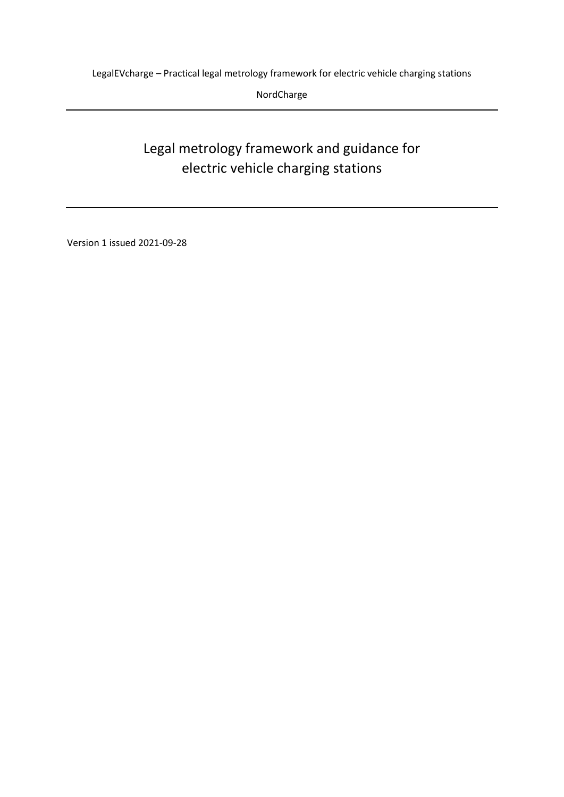NordCharge

# Legal metrology framework and guidance for electric vehicle charging stations

Version 1 issued 2021-09-28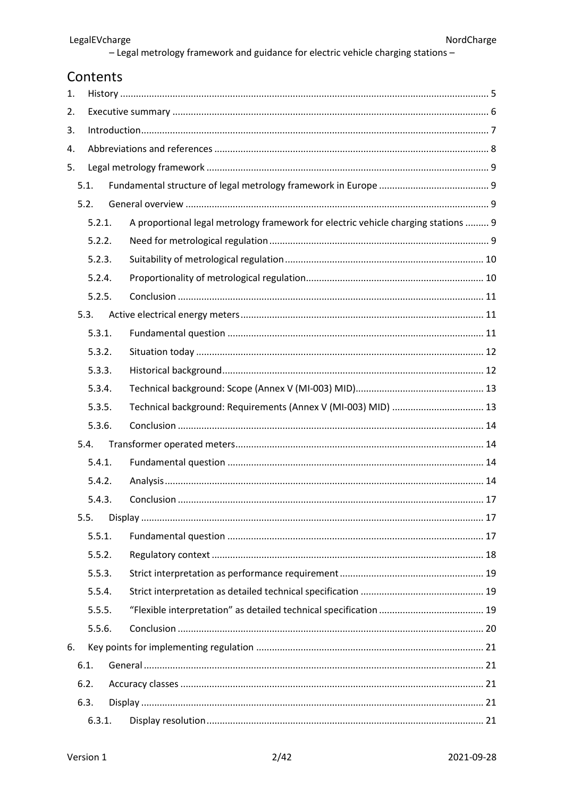## Contents

| 1.   |        |        |                                                                                    |  |
|------|--------|--------|------------------------------------------------------------------------------------|--|
| 2.   |        |        |                                                                                    |  |
| 3.   |        |        |                                                                                    |  |
| 4.   |        |        |                                                                                    |  |
| 5.   |        |        |                                                                                    |  |
|      | 5.1.   |        |                                                                                    |  |
|      | 5.2.   |        |                                                                                    |  |
|      | 5.2.1. |        | A proportional legal metrology framework for electric vehicle charging stations  9 |  |
|      |        | 5.2.2. |                                                                                    |  |
|      |        | 5.2.3. |                                                                                    |  |
|      |        | 5.2.4. |                                                                                    |  |
|      |        | 5.2.5. |                                                                                    |  |
|      | 5.3.   |        |                                                                                    |  |
|      |        | 5.3.1. |                                                                                    |  |
|      |        | 5.3.2. |                                                                                    |  |
|      |        | 5.3.3. |                                                                                    |  |
|      |        | 5.3.4. |                                                                                    |  |
|      |        | 5.3.5. | Technical background: Requirements (Annex V (MI-003) MID)  13                      |  |
|      |        | 5.3.6. |                                                                                    |  |
| 5.4. |        |        |                                                                                    |  |
|      |        | 5.4.1. |                                                                                    |  |
|      |        | 5.4.2. |                                                                                    |  |
|      |        | 5.4.3. |                                                                                    |  |
|      | 5.5.   |        |                                                                                    |  |
|      |        | 5.5.1. |                                                                                    |  |
|      |        | 5.5.2. |                                                                                    |  |
|      |        | 5.5.3. |                                                                                    |  |
|      |        | 5.5.4. |                                                                                    |  |
|      |        | 5.5.5. |                                                                                    |  |
|      |        | 5.5.6. |                                                                                    |  |
| 6.   |        |        |                                                                                    |  |
|      | 6.1.   |        |                                                                                    |  |
|      | 6.2.   |        |                                                                                    |  |
|      | 6.3.   |        |                                                                                    |  |
|      |        | 6.3.1. |                                                                                    |  |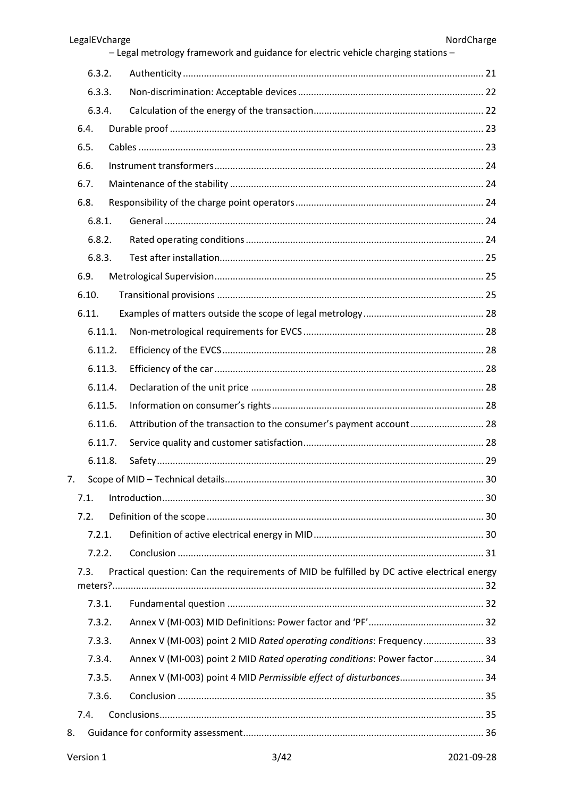| LegalEVcharge |                                                                                             | NordCharge |
|---------------|---------------------------------------------------------------------------------------------|------------|
|               | - Legal metrology framework and guidance for electric vehicle charging stations -           |            |
| 6.3.2.        |                                                                                             |            |
| 6.3.3.        |                                                                                             |            |
| 6.3.4.        |                                                                                             |            |
| 6.4.          |                                                                                             |            |
| 6.5.          |                                                                                             |            |
| 6.6.          |                                                                                             |            |
| 6.7.          |                                                                                             |            |
| 6.8.          |                                                                                             |            |
| 6.8.1.        |                                                                                             |            |
| 6.8.2.        |                                                                                             |            |
| 6.8.3.        |                                                                                             |            |
| 6.9.          |                                                                                             |            |
| 6.10.         |                                                                                             |            |
| 6.11.         |                                                                                             |            |
| 6.11.1.       |                                                                                             |            |
| 6.11.2.       |                                                                                             |            |
| 6.11.3.       |                                                                                             |            |
| 6.11.4.       |                                                                                             |            |
| 6.11.5.       |                                                                                             |            |
| 6.11.6.       | Attribution of the transaction to the consumer's payment account 28                         |            |
| 6.11.7.       |                                                                                             |            |
| 6.11.8.       |                                                                                             |            |
| 7.            |                                                                                             |            |
| 7.1.          |                                                                                             |            |
| 7.2.          |                                                                                             |            |
| 7.2.1.        |                                                                                             |            |
| 7.2.2.        |                                                                                             |            |
| 7.3.          | Practical question: Can the requirements of MID be fulfilled by DC active electrical energy |            |
| 7.3.1.        |                                                                                             |            |
| 7.3.2.        |                                                                                             |            |
| 7.3.3.        | Annex V (MI-003) point 2 MID Rated operating conditions: Frequency 33                       |            |
| 7.3.4.        | Annex V (MI-003) point 2 MID Rated operating conditions: Power factor  34                   |            |
| 7.3.5.        | Annex V (MI-003) point 4 MID Permissible effect of disturbances 34                          |            |
| 7.3.6.        |                                                                                             |            |
| 7.4.          |                                                                                             |            |
| 8.            |                                                                                             |            |
|               |                                                                                             |            |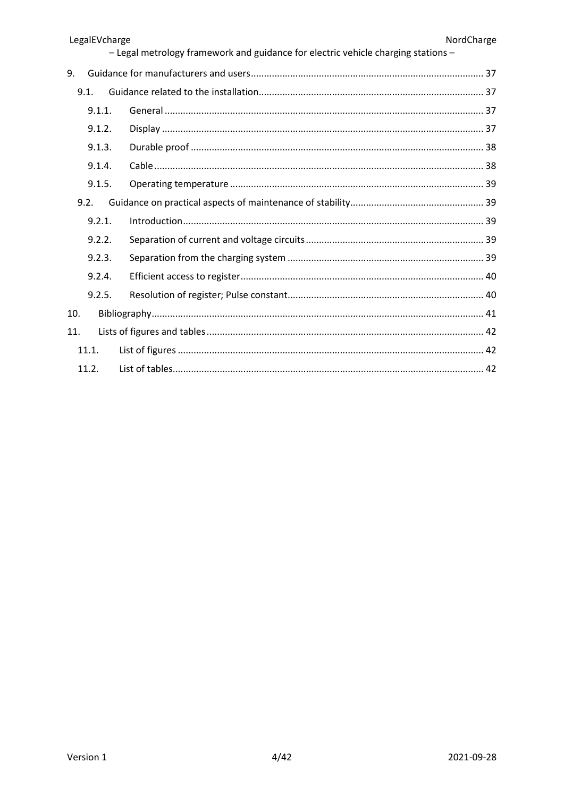|       | LegalEVcharge | - Legal metrology framework and guidance for electric vehicle charging stations - | NordCharge |
|-------|---------------|-----------------------------------------------------------------------------------|------------|
| 9.    |               |                                                                                   |            |
| 9.1.  |               |                                                                                   |            |
|       | 9.1.1.        |                                                                                   |            |
|       | 9.1.2.        |                                                                                   |            |
|       | 9.1.3.        |                                                                                   |            |
|       | 9.1.4.        |                                                                                   |            |
|       | 9.1.5.        |                                                                                   |            |
| 9.2.  |               |                                                                                   |            |
|       | 9.2.1.        |                                                                                   |            |
|       | 9.2.2.        |                                                                                   |            |
|       | 9.2.3.        |                                                                                   |            |
|       | 9.2.4.        |                                                                                   |            |
|       | 9.2.5.        |                                                                                   |            |
| 10.   |               |                                                                                   |            |
| 11.   |               |                                                                                   |            |
| 11.1. |               |                                                                                   |            |
| 11.2. |               |                                                                                   |            |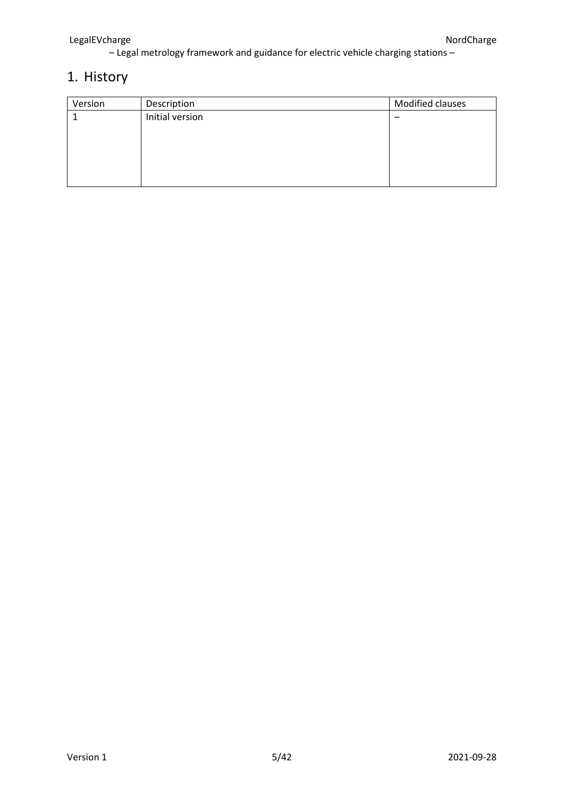# <span id="page-4-0"></span>1. History

| Version | Description     | Modified clauses |
|---------|-----------------|------------------|
|         | Initial version |                  |
|         |                 |                  |
|         |                 |                  |
|         |                 |                  |
|         |                 |                  |
|         |                 |                  |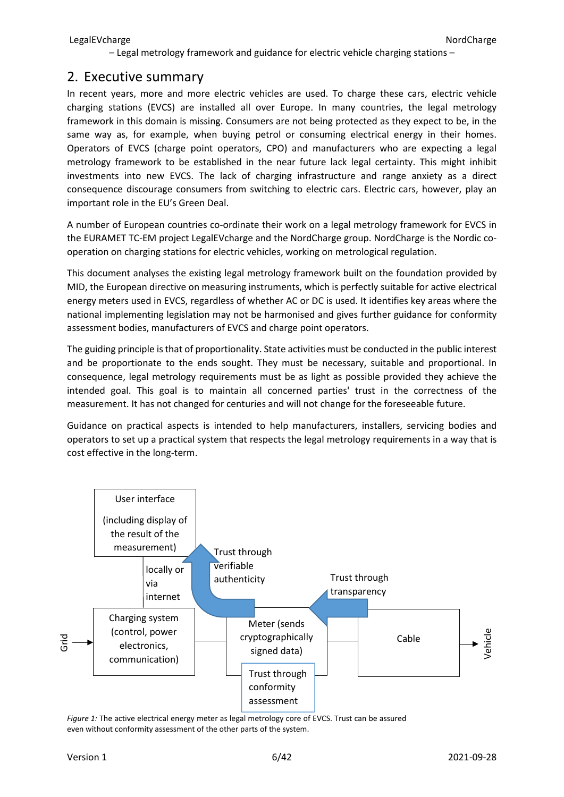### <span id="page-5-0"></span>2. Executive summary

In recent years, more and more electric vehicles are used. To charge these cars, electric vehicle charging stations (EVCS) are installed all over Europe. In many countries, the legal metrology framework in this domain is missing. Consumers are not being protected as they expect to be, in the same way as, for example, when buying petrol or consuming electrical energy in their homes. Operators of EVCS (charge point operators, CPO) and manufacturers who are expecting a legal metrology framework to be established in the near future lack legal certainty. This might inhibit investments into new EVCS. The lack of charging infrastructure and range anxiety as a direct consequence discourage consumers from switching to electric cars. Electric cars, however, play an important role in the EU's Green Deal.

A number of European countries co-ordinate their work on a legal metrology framework for EVCS in the EURAMET TC-EM project LegalEVcharge and the NordCharge group. NordCharge is the Nordic cooperation on charging stations for electric vehicles, working on metrological regulation.

This document analyses the existing legal metrology framework built on the foundation provided by MID, the European directive on measuring instruments, which is perfectly suitable for active electrical energy meters used in EVCS, regardless of whether AC or DC is used. It identifies key areas where the national implementing legislation may not be harmonised and gives further guidance for conformity assessment bodies, manufacturers of EVCS and charge point operators.

The guiding principle is that of proportionality. State activities must be conducted in the public interest and be proportionate to the ends sought. They must be necessary, suitable and proportional. In consequence, legal metrology requirements must be as light as possible provided they achieve the intended goal. This goal is to maintain all concerned parties' trust in the correctness of the measurement. It has not changed for centuries and will not change for the foreseeable future.

Guidance on practical aspects is intended to help manufacturers, installers, servicing bodies and operators to set up a practical system that respects the legal metrology requirements in a way that is cost effective in the long-term.



*Figure 1:* The active electrical energy meter as legal metrology core of EVCS. Trust can be assured even without conformity assessment of the other parts of the system.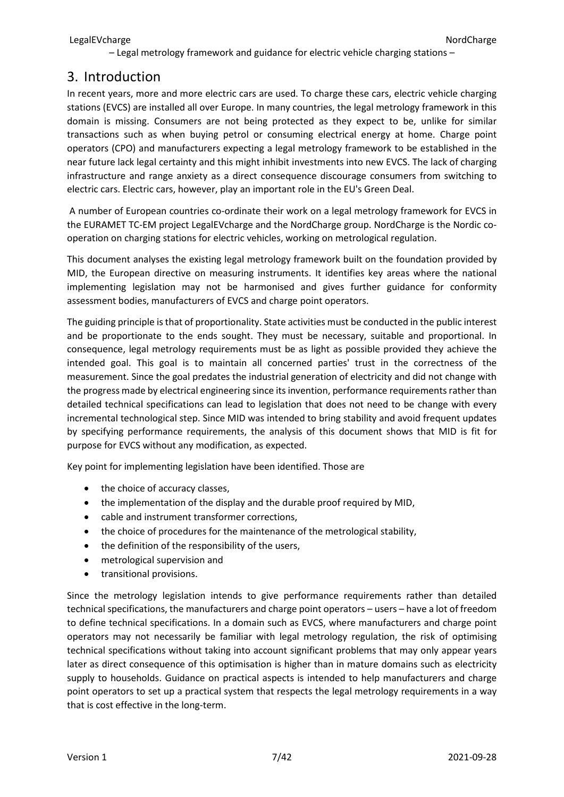## <span id="page-6-0"></span>3. Introduction

In recent years, more and more electric cars are used. To charge these cars, electric vehicle charging stations (EVCS) are installed all over Europe. In many countries, the legal metrology framework in this domain is missing. Consumers are not being protected as they expect to be, unlike for similar transactions such as when buying petrol or consuming electrical energy at home. Charge point operators (CPO) and manufacturers expecting a legal metrology framework to be established in the near future lack legal certainty and this might inhibit investments into new EVCS. The lack of charging infrastructure and range anxiety as a direct consequence discourage consumers from switching to electric cars. Electric cars, however, play an important role in the EU's Green Deal.

A number of European countries co-ordinate their work on a legal metrology framework for EVCS in the EURAMET TC-EM project LegalEVcharge and the NordCharge group. NordCharge is the Nordic cooperation on charging stations for electric vehicles, working on metrological regulation.

This document analyses the existing legal metrology framework built on the foundation provided by MID, the European directive on measuring instruments. It identifies key areas where the national implementing legislation may not be harmonised and gives further guidance for conformity assessment bodies, manufacturers of EVCS and charge point operators.

The guiding principle is that of proportionality. State activities must be conducted in the public interest and be proportionate to the ends sought. They must be necessary, suitable and proportional. In consequence, legal metrology requirements must be as light as possible provided they achieve the intended goal. This goal is to maintain all concerned parties' trust in the correctness of the measurement. Since the goal predates the industrial generation of electricity and did not change with the progress made by electrical engineering since its invention, performance requirements rather than detailed technical specifications can lead to legislation that does not need to be change with every incremental technological step. Since MID was intended to bring stability and avoid frequent updates by specifying performance requirements, the analysis of this document shows that MID is fit for purpose for EVCS without any modification, as expected.

Key point for implementing legislation have been identified. Those are

- the choice of accuracy classes,
- the implementation of the display and the durable proof required by MID,
- cable and instrument transformer corrections,
- the choice of procedures for the maintenance of the metrological stability,
- the definition of the responsibility of the users,
- metrological supervision and
- transitional provisions.

Since the metrology legislation intends to give performance requirements rather than detailed technical specifications, the manufacturers and charge point operators – users – have a lot of freedom to define technical specifications. In a domain such as EVCS, where manufacturers and charge point operators may not necessarily be familiar with legal metrology regulation, the risk of optimising technical specifications without taking into account significant problems that may only appear years later as direct consequence of this optimisation is higher than in mature domains such as electricity supply to households. Guidance on practical aspects is intended to help manufacturers and charge point operators to set up a practical system that respects the legal metrology requirements in a way that is cost effective in the long-term.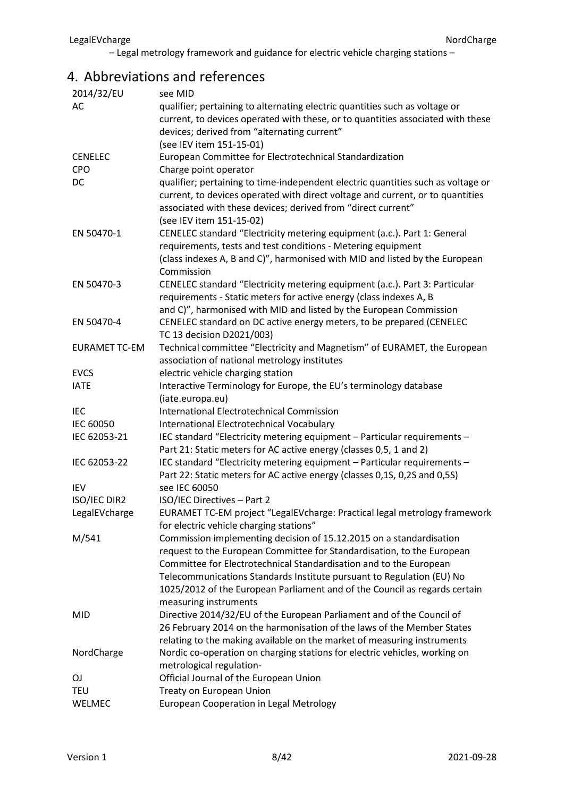# <span id="page-7-0"></span>4. Abbreviations and references

| 2014/32/EU           | see MID                                                                          |
|----------------------|----------------------------------------------------------------------------------|
| AC                   | qualifier; pertaining to alternating electric quantities such as voltage or      |
|                      | current, to devices operated with these, or to quantities associated with these  |
|                      | devices; derived from "alternating current"                                      |
|                      | (see IEV item 151-15-01)                                                         |
| <b>CENELEC</b>       | European Committee for Electrotechnical Standardization                          |
| <b>CPO</b>           | Charge point operator                                                            |
| <b>DC</b>            | qualifier; pertaining to time-independent electric quantities such as voltage or |
|                      | current, to devices operated with direct voltage and current, or to quantities   |
|                      | associated with these devices; derived from "direct current"                     |
|                      | (see IEV item 151-15-02)                                                         |
| EN 50470-1           | CENELEC standard "Electricity metering equipment (a.c.). Part 1: General         |
|                      | requirements, tests and test conditions - Metering equipment                     |
|                      | (class indexes A, B and C)", harmonised with MID and listed by the European      |
|                      | Commission                                                                       |
| EN 50470-3           | CENELEC standard "Electricity metering equipment (a.c.). Part 3: Particular      |
|                      | requirements - Static meters for active energy (class indexes A, B               |
|                      | and C)", harmonised with MID and listed by the European Commission               |
| EN 50470-4           | CENELEC standard on DC active energy meters, to be prepared (CENELEC             |
|                      | TC 13 decision D2021/003)                                                        |
| <b>EURAMET TC-EM</b> | Technical committee "Electricity and Magnetism" of EURAMET, the European         |
|                      | association of national metrology institutes                                     |
| <b>EVCS</b>          | electric vehicle charging station                                                |
| <b>IATE</b>          | Interactive Terminology for Europe, the EU's terminology database                |
|                      | (iate.europa.eu)                                                                 |
| <b>IEC</b>           | <b>International Electrotechnical Commission</b>                                 |
| <b>IEC 60050</b>     | International Electrotechnical Vocabulary                                        |
| IEC 62053-21         | IEC standard "Electricity metering equipment - Particular requirements -         |
|                      | Part 21: Static meters for AC active energy (classes 0,5, 1 and 2)               |
| IEC 62053-22         | IEC standard "Electricity metering equipment - Particular requirements -         |
|                      | Part 22: Static meters for AC active energy (classes 0,1S, 0,2S and 0,5S)        |
| <b>IEV</b>           | see IEC 60050                                                                    |
| ISO/IEC DIR2         | ISO/IEC Directives - Part 2                                                      |
| LegalEVcharge        | EURAMET TC-EM project "LegalEVcharge: Practical legal metrology framework        |
|                      | for electric vehicle charging stations"                                          |
| M/541                | Commission implementing decision of 15.12.2015 on a standardisation              |
|                      | request to the European Committee for Standardisation, to the European           |
|                      | Committee for Electrotechnical Standardisation and to the European               |
|                      | Telecommunications Standards Institute pursuant to Regulation (EU) No            |
|                      | 1025/2012 of the European Parliament and of the Council as regards certain       |
|                      | measuring instruments                                                            |
| <b>MID</b>           | Directive 2014/32/EU of the European Parliament and of the Council of            |
|                      | 26 February 2014 on the harmonisation of the laws of the Member States           |
|                      | relating to the making available on the market of measuring instruments          |
| NordCharge           | Nordic co-operation on charging stations for electric vehicles, working on       |
|                      | metrological regulation-                                                         |
| 0J                   | Official Journal of the European Union                                           |
| <b>TEU</b>           | Treaty on European Union                                                         |
| WELMEC               | European Cooperation in Legal Metrology                                          |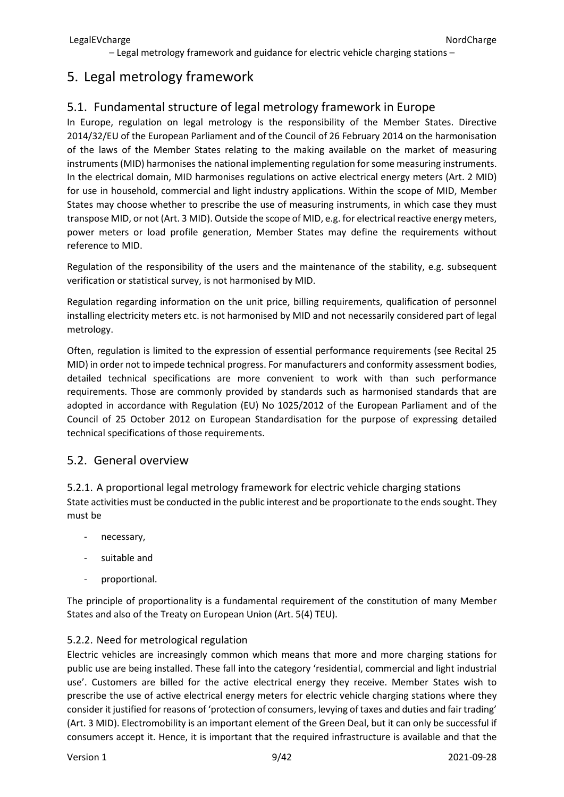# <span id="page-8-0"></span>5. Legal metrology framework

## <span id="page-8-1"></span>5.1. Fundamental structure of legal metrology framework in Europe

In Europe, regulation on legal metrology is the responsibility of the Member States. Directive 2014/32/EU of the European Parliament and of the Council of 26 February 2014 on the harmonisation of the laws of the Member States relating to the making available on the market of measuring instruments (MID) harmonises the national implementing regulation for some measuring instruments. In the electrical domain, MID harmonises regulations on active electrical energy meters (Art. 2 MID) for use in household, commercial and light industry applications. Within the scope of MID, Member States may choose whether to prescribe the use of measuring instruments, in which case they must transpose MID, or not (Art. 3 MID). Outside the scope of MID, e.g. for electrical reactive energy meters, power meters or load profile generation, Member States may define the requirements without reference to MID.

Regulation of the responsibility of the users and the maintenance of the stability, e.g. subsequent verification or statistical survey, is not harmonised by MID.

Regulation regarding information on the unit price, billing requirements, qualification of personnel installing electricity meters etc. is not harmonised by MID and not necessarily considered part of legal metrology.

Often, regulation is limited to the expression of essential performance requirements (see Recital 25 MID) in order not to impede technical progress. For manufacturers and conformity assessment bodies, detailed technical specifications are more convenient to work with than such performance requirements. Those are commonly provided by standards such as harmonised standards that are adopted in accordance with Regulation (EU) No 1025/2012 of the European Parliament and of the Council of 25 October 2012 on European Standardisation for the purpose of expressing detailed technical specifications of those requirements.

### <span id="page-8-2"></span>5.2. General overview

<span id="page-8-3"></span>5.2.1. A proportional legal metrology framework for electric vehicle charging stations State activities must be conducted in the public interest and be proportionate to the ends sought. They must be

- necessary,
- suitable and
- proportional.

The principle of proportionality is a fundamental requirement of the constitution of many Member States and also of the Treaty on European Union (Art. 5(4) TEU).

### <span id="page-8-4"></span>5.2.2. Need for metrological regulation

Electric vehicles are increasingly common which means that more and more charging stations for public use are being installed. These fall into the category 'residential, commercial and light industrial use'. Customers are billed for the active electrical energy they receive. Member States wish to prescribe the use of active electrical energy meters for electric vehicle charging stations where they consider it justified for reasons of 'protection of consumers, levying of taxes and duties and fair trading' (Art. 3 MID). Electromobility is an important element of the Green Deal, but it can only be successful if consumers accept it. Hence, it is important that the required infrastructure is available and that the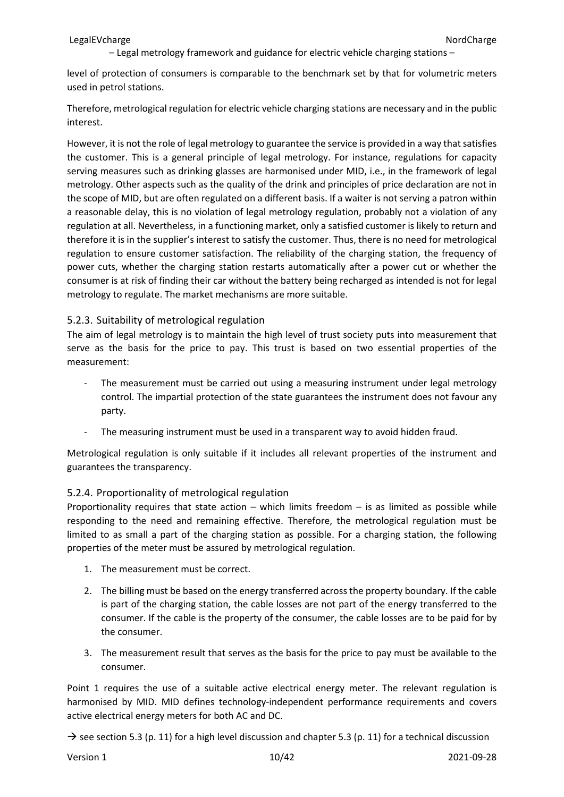level of protection of consumers is comparable to the benchmark set by that for volumetric meters used in petrol stations.

Therefore, metrological regulation for electric vehicle charging stations are necessary and in the public interest.

However, it is not the role of legal metrology to guarantee the service is provided in a way that satisfies the customer. This is a general principle of legal metrology. For instance, regulations for capacity serving measures such as drinking glasses are harmonised under MID, i.e., in the framework of legal metrology. Other aspects such as the quality of the drink and principles of price declaration are not in the scope of MID, but are often regulated on a different basis. If a waiter is not serving a patron within a reasonable delay, this is no violation of legal metrology regulation, probably not a violation of any regulation at all. Nevertheless, in a functioning market, only a satisfied customer is likely to return and therefore it is in the supplier's interest to satisfy the customer. Thus, there is no need for metrological regulation to ensure customer satisfaction. The reliability of the charging station, the frequency of power cuts, whether the charging station restarts automatically after a power cut or whether the consumer is at risk of finding their car without the battery being recharged as intended is not for legal metrology to regulate. The market mechanisms are more suitable.

#### <span id="page-9-0"></span>5.2.3. Suitability of metrological regulation

The aim of legal metrology is to maintain the high level of trust society puts into measurement that serve as the basis for the price to pay. This trust is based on two essential properties of the measurement:

- The measurement must be carried out using a measuring instrument under legal metrology control. The impartial protection of the state guarantees the instrument does not favour any party.
- The measuring instrument must be used in a transparent way to avoid hidden fraud.

Metrological regulation is only suitable if it includes all relevant properties of the instrument and guarantees the transparency.

### <span id="page-9-1"></span>5.2.4. Proportionality of metrological regulation

Proportionality requires that state action – which limits freedom – is as limited as possible while responding to the need and remaining effective. Therefore, the metrological regulation must be limited to as small a part of the charging station as possible. For a charging station, the following properties of the meter must be assured by metrological regulation.

- 1. The measurement must be correct.
- 2. The billing must be based on the energy transferred across the property boundary. If the cable is part of the charging station, the cable losses are not part of the energy transferred to the consumer. If the cable is the property of the consumer, the cable losses are to be paid for by the consumer.
- 3. The measurement result that serves as the basis for the price to pay must be available to the consumer.

Point 1 requires the use of a suitable active electrical energy meter. The relevant regulation is harmonised by MID. MID defines technology-independent performance requirements and covers active electrical energy meters for both AC and DC.

 $\rightarrow$  see section [5.3](#page-10-1) (p. [11\)](#page-10-1) for a high level discussion and chapter 5.3 (p. [11\)](#page-10-1) for a technical discussion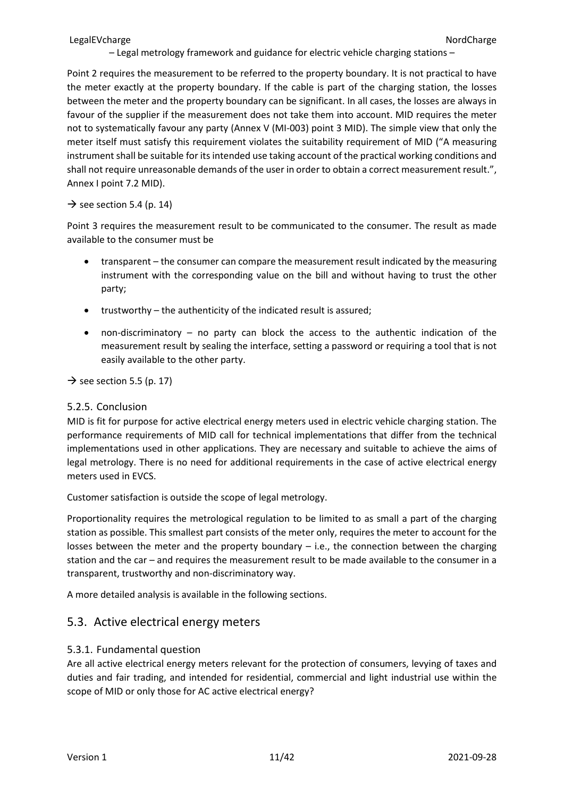Point 2 requires the measurement to be referred to the property boundary. It is not practical to have the meter exactly at the property boundary. If the cable is part of the charging station, the losses between the meter and the property boundary can be significant. In all cases, the losses are always in favour of the supplier if the measurement does not take them into account. MID requires the meter not to systematically favour any party (Annex V (MI-003) point 3 MID). The simple view that only the meter itself must satisfy this requirement violates the suitability requirement of MID ("A measuring instrument shall be suitable for its intended use taking account of the practical working conditions and shall not require unreasonable demands of the user in order to obtain a correct measurement result.", Annex I point 7.2 MID).

### $\rightarrow$  see section [5.4](#page-13-1) (p. [14\)](#page-13-1)

Point 3 requires the measurement result to be communicated to the consumer. The result as made available to the consumer must be

- transparent the consumer can compare the measurement result indicated by the measuring instrument with the corresponding value on the bill and without having to trust the other party;
- trustworthy the authenticity of the indicated result is assured;
- non-discriminatory no party can block the access to the authentic indication of the measurement result by sealing the interface, setting a password or requiring a tool that is not easily available to the other party.

 $\rightarrow$  see section [5.5](#page-16-1) (p. [17\)](#page-16-1)

### <span id="page-10-0"></span>5.2.5. Conclusion

MID is fit for purpose for active electrical energy meters used in electric vehicle charging station. The performance requirements of MID call for technical implementations that differ from the technical implementations used in other applications. They are necessary and suitable to achieve the aims of legal metrology. There is no need for additional requirements in the case of active electrical energy meters used in EVCS.

Customer satisfaction is outside the scope of legal metrology.

Proportionality requires the metrological regulation to be limited to as small a part of the charging station as possible. This smallest part consists of the meter only, requires the meter to account for the losses between the meter and the property boundary  $-$  i.e., the connection between the charging station and the car – and requires the measurement result to be made available to the consumer in a transparent, trustworthy and non-discriminatory way.

A more detailed analysis is available in the following sections.

### <span id="page-10-1"></span>5.3. Active electrical energy meters

### <span id="page-10-2"></span>5.3.1. Fundamental question

Are all active electrical energy meters relevant for the protection of consumers, levying of taxes and duties and fair trading, and intended for residential, commercial and light industrial use within the scope of MID or only those for AC active electrical energy?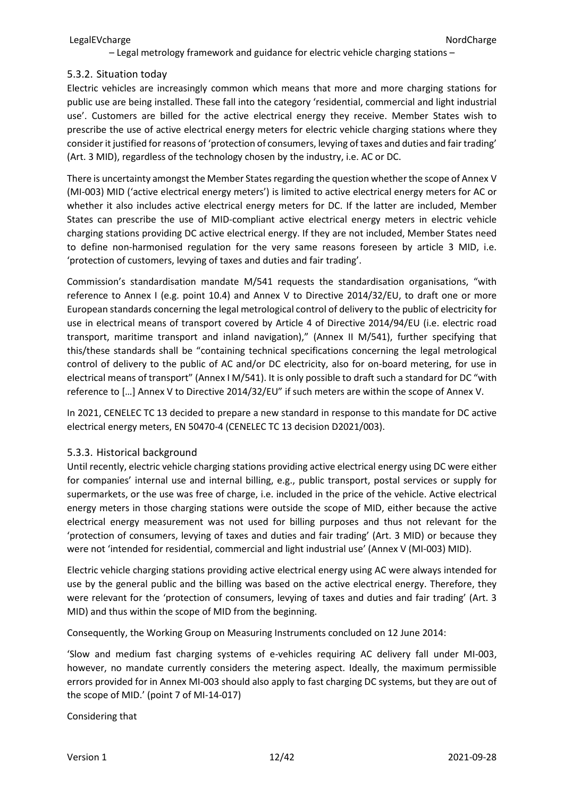#### <span id="page-11-0"></span>5.3.2. Situation today

Electric vehicles are increasingly common which means that more and more charging stations for public use are being installed. These fall into the category 'residential, commercial and light industrial use'. Customers are billed for the active electrical energy they receive. Member States wish to prescribe the use of active electrical energy meters for electric vehicle charging stations where they consider it justified for reasons of 'protection of consumers, levying of taxes and duties and fair trading' (Art. 3 MID), regardless of the technology chosen by the industry, i.e. AC or DC.

There is uncertainty amongst the Member States regarding the question whether the scope of Annex V (MI-003) MID ('active electrical energy meters') is limited to active electrical energy meters for AC or whether it also includes active electrical energy meters for DC. If the latter are included, Member States can prescribe the use of MID-compliant active electrical energy meters in electric vehicle charging stations providing DC active electrical energy. If they are not included, Member States need to define non-harmonised regulation for the very same reasons foreseen by article 3 MID, i.e. 'protection of customers, levying of taxes and duties and fair trading'.

Commission's standardisation mandate M/541 requests the standardisation organisations, "with reference to Annex I (e.g. point 10.4) and Annex V to Directive 2014/32/EU, to draft one or more European standards concerning the legal metrological control of delivery to the public of electricity for use in electrical means of transport covered by Article 4 of Directive 2014/94/EU (i.e. electric road transport, maritime transport and inland navigation)," (Annex II M/541), further specifying that this/these standards shall be "containing technical specifications concerning the legal metrological control of delivery to the public of AC and/or DC electricity, also for on-board metering, for use in electrical means of transport" (Annex I M/541). It is only possible to draft such a standard for DC "with reference to […] Annex V to Directive 2014/32/EU" if such meters are within the scope of Annex V.

In 2021, CENELEC TC 13 decided to prepare a new standard in response to this mandate for DC active electrical energy meters, EN 50470-4 (CENELEC TC 13 decision D2021/003).

#### <span id="page-11-1"></span>5.3.3. Historical background

Until recently, electric vehicle charging stations providing active electrical energy using DC were either for companies' internal use and internal billing, e.g., public transport, postal services or supply for supermarkets, or the use was free of charge, i.e. included in the price of the vehicle. Active electrical energy meters in those charging stations were outside the scope of MID, either because the active electrical energy measurement was not used for billing purposes and thus not relevant for the 'protection of consumers, levying of taxes and duties and fair trading' (Art. 3 MID) or because they were not 'intended for residential, commercial and light industrial use' (Annex V (MI-003) MID).

Electric vehicle charging stations providing active electrical energy using AC were always intended for use by the general public and the billing was based on the active electrical energy. Therefore, they were relevant for the 'protection of consumers, levying of taxes and duties and fair trading' (Art. 3 MID) and thus within the scope of MID from the beginning.

Consequently, the Working Group on Measuring Instruments concluded on 12 June 2014:

'Slow and medium fast charging systems of e-vehicles requiring AC delivery fall under MI-003, however, no mandate currently considers the metering aspect. Ideally, the maximum permissible errors provided for in Annex MI-003 should also apply to fast charging DC systems, but they are out of the scope of MID.' (point 7 of MI-14-017)

Considering that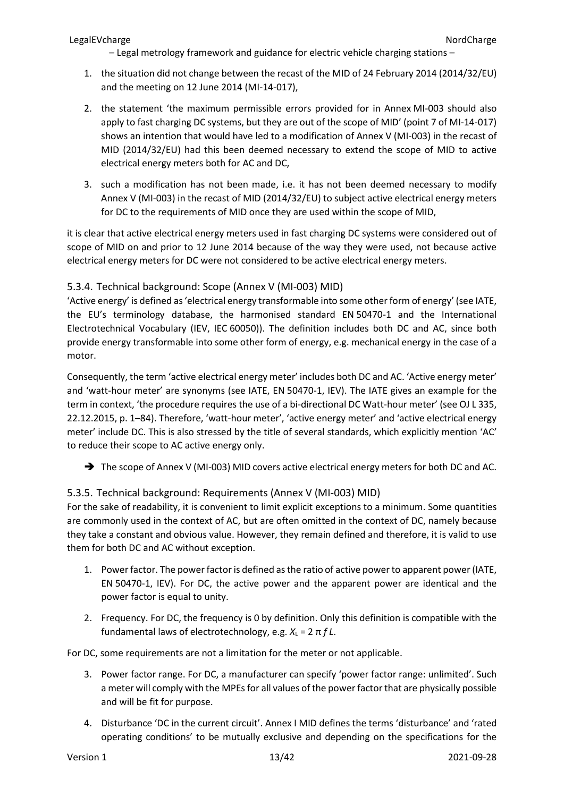- 1. the situation did not change between the recast of the MID of 24 February 2014 (2014/32/EU) and the meeting on 12 June 2014 (MI-14-017),
- 2. the statement 'the maximum permissible errors provided for in Annex MI-003 should also apply to fast charging DC systems, but they are out of the scope of MID' (point 7 of MI-14-017) shows an intention that would have led to a modification of Annex V (MI-003) in the recast of MID (2014/32/EU) had this been deemed necessary to extend the scope of MID to active electrical energy meters both for AC and DC,
- 3. such a modification has not been made, i.e. it has not been deemed necessary to modify Annex V (MI-003) in the recast of MID (2014/32/EU) to subject active electrical energy meters for DC to the requirements of MID once they are used within the scope of MID,

it is clear that active electrical energy meters used in fast charging DC systems were considered out of scope of MID on and prior to 12 June 2014 because of the way they were used, not because active electrical energy meters for DC were not considered to be active electrical energy meters.

### <span id="page-12-0"></span>5.3.4. Technical background: Scope (Annex V (MI-003) MID)

'Active energy' is defined as 'electrical energy transformable into some other form of energy' (see IATE, the EU's terminology database, the harmonised standard EN 50470-1 and the International Electrotechnical Vocabulary (IEV, IEC 60050)). The definition includes both DC and AC, since both provide energy transformable into some other form of energy, e.g. mechanical energy in the case of a motor.

Consequently, the term 'active electrical energy meter' includes both DC and AC. 'Active energy meter' and 'watt-hour meter' are synonyms (see IATE, EN 50470-1, IEV). The IATE gives an example for the term in context, 'the procedure requires the use of a bi-directional DC Watt-hour meter' (see OJ L 335, 22.12.2015, p. 1–84). Therefore, 'watt-hour meter', 'active energy meter' and 'active electrical energy meter' include DC. This is also stressed by the title of several standards, which explicitly mention 'AC' to reduce their scope to AC active energy only.

→ The scope of Annex V (MI-003) MID covers active electrical energy meters for both DC and AC.

### <span id="page-12-1"></span>5.3.5. Technical background: Requirements (Annex V (MI-003) MID)

For the sake of readability, it is convenient to limit explicit exceptions to a minimum. Some quantities are commonly used in the context of AC, but are often omitted in the context of DC, namely because they take a constant and obvious value. However, they remain defined and therefore, it is valid to use them for both DC and AC without exception.

- 1. Power factor. The power factor is defined as the ratio of active power to apparent power (IATE, EN 50470-1, IEV). For DC, the active power and the apparent power are identical and the power factor is equal to unity.
- 2. Frequency. For DC, the frequency is 0 by definition. Only this definition is compatible with the fundamental laws of electrotechnology, e.g.  $X_L = 2 \pi f L$ .

For DC, some requirements are not a limitation for the meter or not applicable.

- 3. Power factor range. For DC, a manufacturer can specify 'power factor range: unlimited'. Such a meter will comply with the MPEs for all values of the power factor that are physically possible and will be fit for purpose.
- 4. Disturbance 'DC in the current circuit'. Annex I MID defines the terms 'disturbance' and 'rated operating conditions' to be mutually exclusive and depending on the specifications for the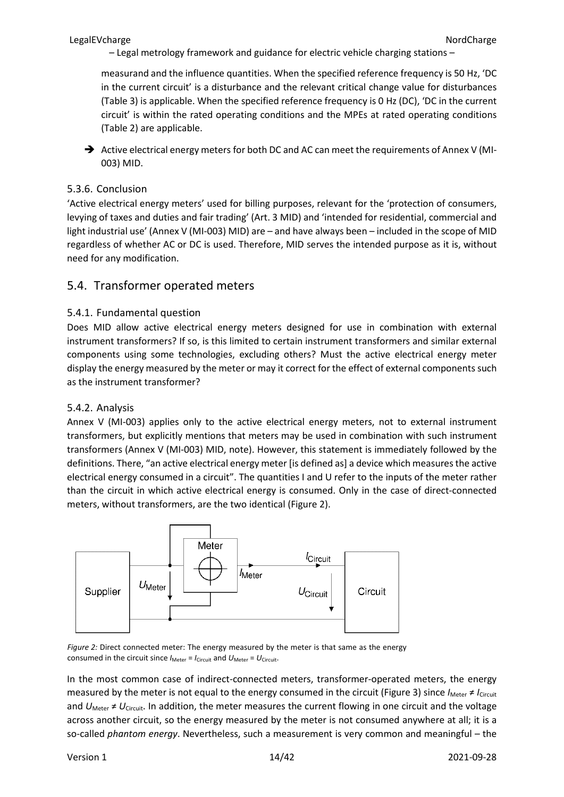measurand and the influence quantities. When the specified reference frequency is 50 Hz, 'DC in the current circuit' is a disturbance and the relevant critical change value for disturbances (Table 3) is applicable. When the specified reference frequency is 0 Hz (DC), 'DC in the current circuit' is within the rated operating conditions and the MPEs at rated operating conditions (Table 2) are applicable.

Active electrical energy meters for both DC and AC can meet the requirements of Annex V (MI-003) MID.

### <span id="page-13-0"></span>5.3.6. Conclusion

'Active electrical energy meters' used for billing purposes, relevant for the 'protection of consumers, levying of taxes and duties and fair trading' (Art. 3 MID) and 'intended for residential, commercial and light industrial use' (Annex V (MI-003) MID) are – and have always been – included in the scope of MID regardless of whether AC or DC is used. Therefore, MID serves the intended purpose as it is, without need for any modification.

### <span id="page-13-1"></span>5.4. Transformer operated meters

### <span id="page-13-2"></span>5.4.1. Fundamental question

Does MID allow active electrical energy meters designed for use in combination with external instrument transformers? If so, is this limited to certain instrument transformers and similar external components using some technologies, excluding others? Must the active electrical energy meter display the energy measured by the meter or may it correct for the effect of external components such as the instrument transformer?

### <span id="page-13-3"></span>5.4.2. Analysis

Annex V (MI-003) applies only to the active electrical energy meters, not to external instrument transformers, but explicitly mentions that meters may be used in combination with such instrument transformers (Annex V (MI-003) MID, note). However, this statement is immediately followed by the definitions. There, "an active electrical energy meter [is defined as] a device which measures the active electrical energy consumed in a circuit". The quantities I and U refer to the inputs of the meter rather than the circuit in which active electrical energy is consumed. Only in the case of direct-connected meters, without transformers, are the two identical [\(Figure](#page-13-4) 2).



<span id="page-13-4"></span>*Figure 2:* Direct connected meter: The energy measured by the meter is that same as the energy consumed in the circuit since  $I_{\text{Meter}} = I_{\text{Circuit}}$  and  $U_{\text{Meter}} = U_{\text{Circuit}}$ .

In the most common case of indirect-connected meters, transformer-operated meters, the energy measured by the meter is not equal to the energy consumed in the circuit [\(Figure](#page-14-0) 3) since *I*<sub>Meter</sub> ≠ *I*<sub>Circuit</sub> and  $U_{\text{Meter}} \neq U_{\text{Circuit}}$ . In addition, the meter measures the current flowing in one circuit and the voltage across another circuit, so the energy measured by the meter is not consumed anywhere at all; it is a so-called *phantom energy*. Nevertheless, such a measurement is very common and meaningful – the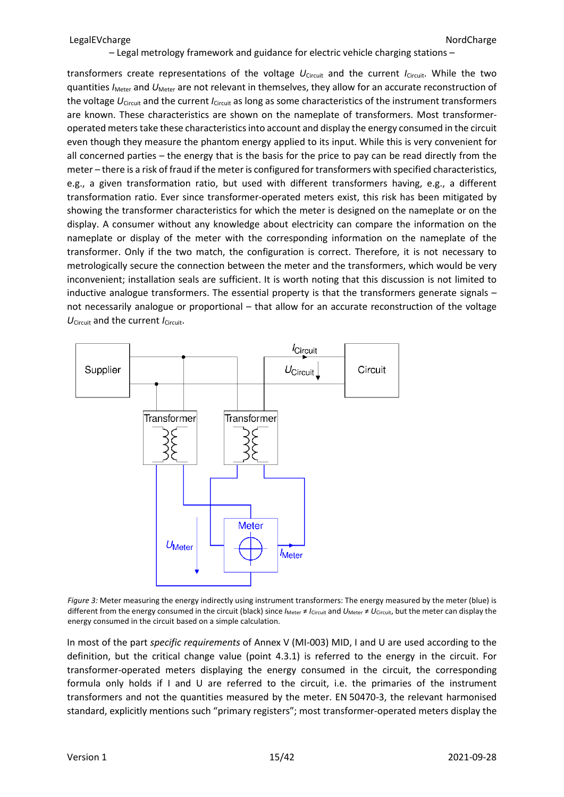transformers create representations of the voltage *U*Circuit and the current *I*Circuit. While the two quantities *I<sub>Meter</sub>* and *U<sub>Meter</sub>* are not relevant in themselves, they allow for an accurate reconstruction of the voltage *U*<sub>Circuit</sub> and the current *I*<sub>Circuit</sub> as long as some characteristics of the instrument transformers are known. These characteristics are shown on the nameplate of transformers. Most transformeroperated meters take these characteristics into account and display the energy consumed in the circuit even though they measure the phantom energy applied to its input. While this is very convenient for all concerned parties – the energy that is the basis for the price to pay can be read directly from the meter – there is a risk of fraud if the meter is configured for transformers with specified characteristics, e.g., a given transformation ratio, but used with different transformers having, e.g., a different transformation ratio. Ever since transformer-operated meters exist, this risk has been mitigated by showing the transformer characteristics for which the meter is designed on the nameplate or on the display. A consumer without any knowledge about electricity can compare the information on the nameplate or display of the meter with the corresponding information on the nameplate of the transformer. Only if the two match, the configuration is correct. Therefore, it is not necessary to metrologically secure the connection between the meter and the transformers, which would be very inconvenient; installation seals are sufficient. It is worth noting that this discussion is not limited to inductive analogue transformers. The essential property is that the transformers generate signals – not necessarily analogue or proportional – that allow for an accurate reconstruction of the voltage *U*Circuit and the current *I*Circuit.



<span id="page-14-0"></span>*Figure 3:* Meter measuring the energy indirectly using instrument transformers: The energy measured by the meter (blue) is different from the energy consumed in the circuit (black) since  $I_{\text{Meter}} \neq I_{\text{Circuit}}$  and  $U_{\text{Meter}} \neq U_{\text{Circuit}}$ , but the meter can display the energy consumed in the circuit based on a simple calculation.

In most of the part *specific requirements* of Annex V (MI-003) MID, I and U are used according to the definition, but the critical change value (point 4.3.1) is referred to the energy in the circuit. For transformer-operated meters displaying the energy consumed in the circuit, the corresponding formula only holds if I and U are referred to the circuit, i.e. the primaries of the instrument transformers and not the quantities measured by the meter. EN 50470-3, the relevant harmonised standard, explicitly mentions such "primary registers"; most transformer-operated meters display the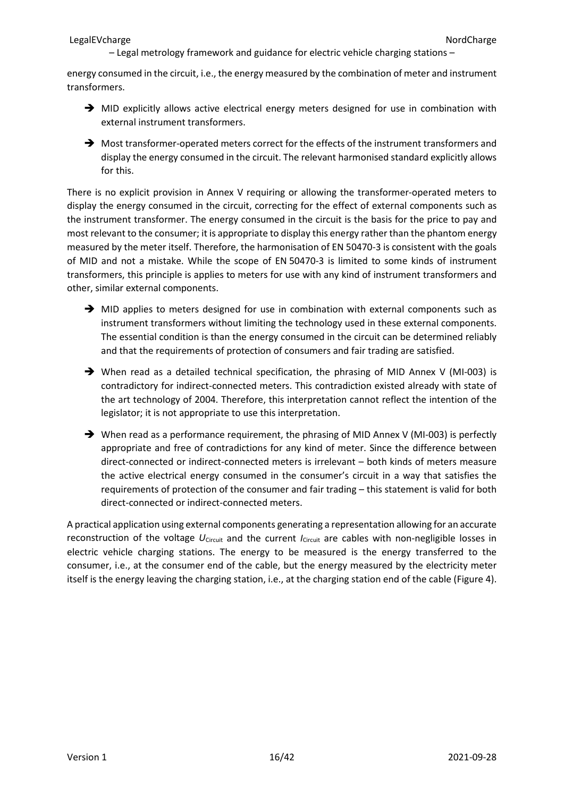energy consumed in the circuit, i.e., the energy measured by the combination of meter and instrument transformers.

- $\rightarrow$  MID explicitly allows active electrical energy meters designed for use in combination with external instrument transformers.
- $\rightarrow$  Most transformer-operated meters correct for the effects of the instrument transformers and display the energy consumed in the circuit. The relevant harmonised standard explicitly allows for this.

There is no explicit provision in Annex V requiring or allowing the transformer-operated meters to display the energy consumed in the circuit, correcting for the effect of external components such as the instrument transformer. The energy consumed in the circuit is the basis for the price to pay and most relevant to the consumer; it is appropriate to display this energy rather than the phantom energy measured by the meter itself. Therefore, the harmonisation of EN 50470-3 is consistent with the goals of MID and not a mistake. While the scope of EN 50470-3 is limited to some kinds of instrument transformers, this principle is applies to meters for use with any kind of instrument transformers and other, similar external components.

- $\rightarrow$  MID applies to meters designed for use in combination with external components such as instrument transformers without limiting the technology used in these external components. The essential condition is than the energy consumed in the circuit can be determined reliably and that the requirements of protection of consumers and fair trading are satisfied.
- When read as a detailed technical specification, the phrasing of MID Annex V (MI-003) is contradictory for indirect-connected meters. This contradiction existed already with state of the art technology of 2004. Therefore, this interpretation cannot reflect the intention of the legislator; it is not appropriate to use this interpretation.
- $\rightarrow$  When read as a performance requirement, the phrasing of MID Annex V (MI-003) is perfectly appropriate and free of contradictions for any kind of meter. Since the difference between direct-connected or indirect-connected meters is irrelevant – both kinds of meters measure the active electrical energy consumed in the consumer's circuit in a way that satisfies the requirements of protection of the consumer and fair trading – this statement is valid for both direct-connected or indirect-connected meters.

A practical application using external components generating a representation allowing for an accurate reconstruction of the voltage *U*<sub>Circuit</sub> and the current *I*<sub>Circuit</sub> are cables with non-negligible losses in electric vehicle charging stations. The energy to be measured is the energy transferred to the consumer, i.e., at the consumer end of the cable, but the energy measured by the electricity meter itself is the energy leaving the charging station, i.e., at the charging station end of the cable [\(Figure](#page-16-3) 4).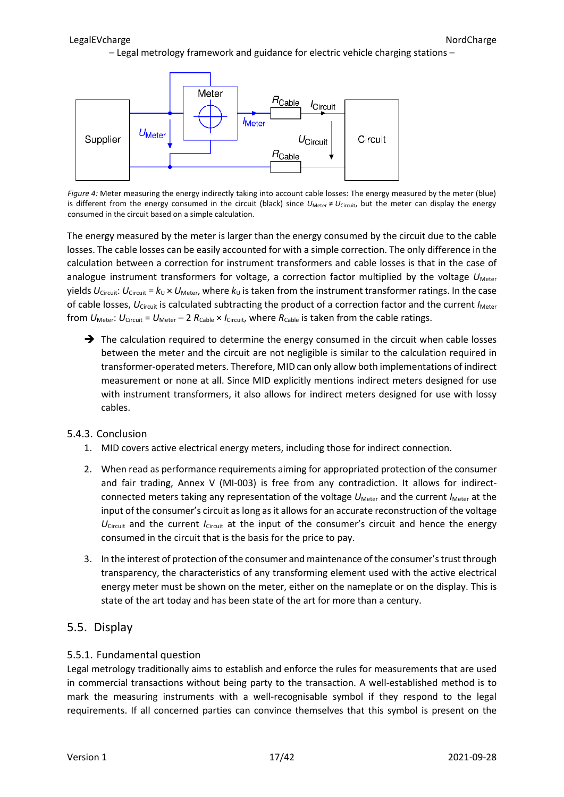

<span id="page-16-3"></span>*Figure 4:* Meter measuring the energy indirectly taking into account cable losses: The energy measured by the meter (blue) is different from the energy consumed in the circuit (black) since  $U_{\text{Meter}} \neq U_{\text{Circuit}}$ , but the meter can display the energy consumed in the circuit based on a simple calculation.

The energy measured by the meter is larger than the energy consumed by the circuit due to the cable losses. The cable losses can be easily accounted for with a simple correction. The only difference in the calculation between a correction for instrument transformers and cable losses is that in the case of analogue instrument transformers for voltage, a correction factor multiplied by the voltage U<sub>Meter</sub> yields  $U_{Circuit}$ :  $U_{Circuit}$  =  $k_U \times U_{Meter}$ , where  $k_U$  is taken from the instrument transformer ratings. In the case of cable losses, *U*Circuit is calculated subtracting the product of a correction factor and the current *I*Meter from  $U_{\text{Meter}}$ :  $U_{\text{Circuit}} = U_{\text{Meter}} - 2 R_{\text{Cable}} \times I_{\text{Circuit}}$ , where  $R_{\text{Cable}}$  is taken from the cable ratings.

 $\rightarrow$  The calculation required to determine the energy consumed in the circuit when cable losses between the meter and the circuit are not negligible is similar to the calculation required in transformer-operated meters. Therefore, MID can only allow both implementations of indirect measurement or none at all. Since MID explicitly mentions indirect meters designed for use with instrument transformers, it also allows for indirect meters designed for use with lossy cables.

### <span id="page-16-0"></span>5.4.3. Conclusion

- 1. MID covers active electrical energy meters, including those for indirect connection.
- 2. When read as performance requirements aiming for appropriated protection of the consumer and fair trading, Annex V (MI-003) is free from any contradiction. It allows for indirectconnected meters taking any representation of the voltage  $U_{\text{Meter}}$  and the current *I*Meter at the input of the consumer's circuit as long as it allows for an accurate reconstruction of the voltage  $U_{\text{Circuit}}$  and the current *I*<sub>Circuit</sub> at the input of the consumer's circuit and hence the energy consumed in the circuit that is the basis for the price to pay.
- 3. In the interest of protection of the consumer and maintenance of the consumer's trust through transparency, the characteristics of any transforming element used with the active electrical energy meter must be shown on the meter, either on the nameplate or on the display. This is state of the art today and has been state of the art for more than a century.

### <span id="page-16-1"></span>5.5. Display

### <span id="page-16-2"></span>5.5.1. Fundamental question

Legal metrology traditionally aims to establish and enforce the rules for measurements that are used in commercial transactions without being party to the transaction. A well-established method is to mark the measuring instruments with a well-recognisable symbol if they respond to the legal requirements. If all concerned parties can convince themselves that this symbol is present on the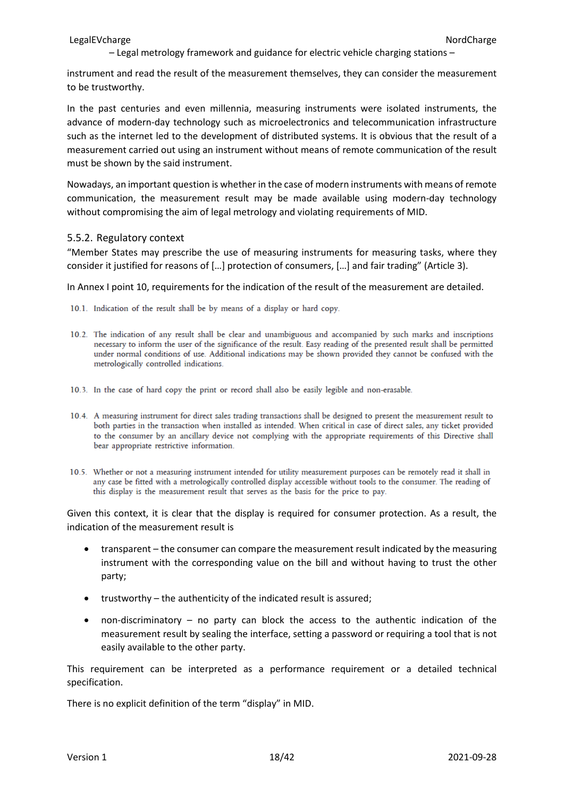instrument and read the result of the measurement themselves, they can consider the measurement to be trustworthy.

In the past centuries and even millennia, measuring instruments were isolated instruments, the advance of modern-day technology such as microelectronics and telecommunication infrastructure such as the internet led to the development of distributed systems. It is obvious that the result of a measurement carried out using an instrument without means of remote communication of the result must be shown by the said instrument.

Nowadays, an important question is whether in the case of modern instruments with means of remote communication, the measurement result may be made available using modern-day technology without compromising the aim of legal metrology and violating requirements of MID.

#### <span id="page-17-0"></span>5.5.2. Regulatory context

"Member States may prescribe the use of measuring instruments for measuring tasks, where they consider it justified for reasons of […] protection of consumers, […] and fair trading" (Article 3).

In Annex I point 10, requirements for the indication of the result of the measurement are detailed.

- 10.1. Indication of the result shall be by means of a display or hard copy.
- 10.2. The indication of any result shall be clear and unambiguous and accompanied by such marks and inscriptions necessary to inform the user of the significance of the result. Easy reading of the presented result shall be permitted under normal conditions of use. Additional indications may be shown provided they cannot be confused with the metrologically controlled indications.
- 10.3. In the case of hard copy the print or record shall also be easily legible and non-erasable.
- 10.4. A measuring instrument for direct sales trading transactions shall be designed to present the measurement result to both parties in the transaction when installed as intended. When critical in case of direct sales, any ticket provided to the consumer by an ancillary device not complying with the appropriate requirements of this Directive shall bear appropriate restrictive information.
- 10.5. Whether or not a measuring instrument intended for utility measurement purposes can be remotely read it shall in any case be fitted with a metrologically controlled display accessible without tools to the consumer. The reading of this display is the measurement result that serves as the basis for the price to pay.

Given this context, it is clear that the display is required for consumer protection. As a result, the indication of the measurement result is

- transparent the consumer can compare the measurement result indicated by the measuring instrument with the corresponding value on the bill and without having to trust the other party;
- trustworthy the authenticity of the indicated result is assured;
- non-discriminatory no party can block the access to the authentic indication of the measurement result by sealing the interface, setting a password or requiring a tool that is not easily available to the other party.

This requirement can be interpreted as a performance requirement or a detailed technical specification.

There is no explicit definition of the term "display" in MID.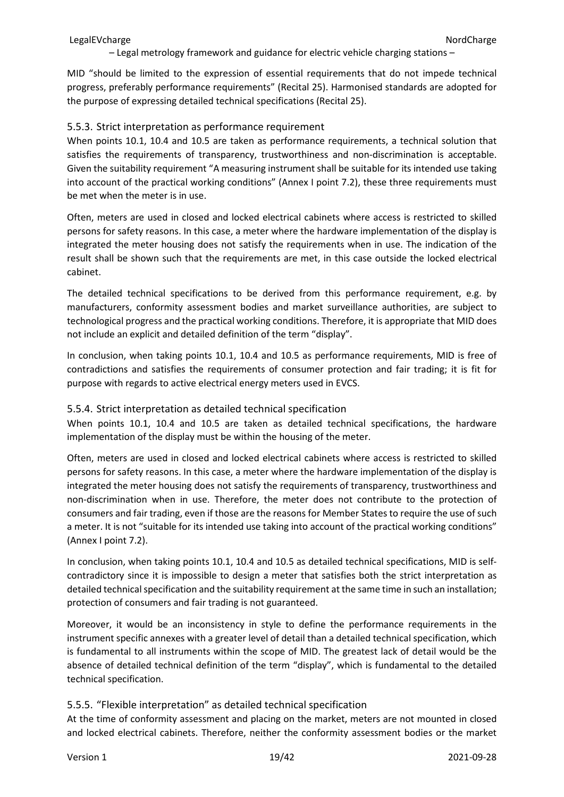MID "should be limited to the expression of essential requirements that do not impede technical progress, preferably performance requirements" (Recital 25). Harmonised standards are adopted for the purpose of expressing detailed technical specifications (Recital 25).

#### <span id="page-18-0"></span>5.5.3. Strict interpretation as performance requirement

When points 10.1, 10.4 and 10.5 are taken as performance requirements, a technical solution that satisfies the requirements of transparency, trustworthiness and non-discrimination is acceptable. Given the suitability requirement "A measuring instrument shall be suitable for its intended use taking into account of the practical working conditions" (Annex I point 7.2), these three requirements must be met when the meter is in use.

Often, meters are used in closed and locked electrical cabinets where access is restricted to skilled persons for safety reasons. In this case, a meter where the hardware implementation of the display is integrated the meter housing does not satisfy the requirements when in use. The indication of the result shall be shown such that the requirements are met, in this case outside the locked electrical cabinet.

The detailed technical specifications to be derived from this performance requirement, e.g. by manufacturers, conformity assessment bodies and market surveillance authorities, are subject to technological progress and the practical working conditions. Therefore, it is appropriate that MID does not include an explicit and detailed definition of the term "display".

In conclusion, when taking points 10.1, 10.4 and 10.5 as performance requirements, MID is free of contradictions and satisfies the requirements of consumer protection and fair trading; it is fit for purpose with regards to active electrical energy meters used in EVCS.

#### <span id="page-18-1"></span>5.5.4. Strict interpretation as detailed technical specification

When points 10.1, 10.4 and 10.5 are taken as detailed technical specifications, the hardware implementation of the display must be within the housing of the meter.

Often, meters are used in closed and locked electrical cabinets where access is restricted to skilled persons for safety reasons. In this case, a meter where the hardware implementation of the display is integrated the meter housing does not satisfy the requirements of transparency, trustworthiness and non-discrimination when in use. Therefore, the meter does not contribute to the protection of consumers and fair trading, even if those are the reasons for Member States to require the use of such a meter. It is not "suitable for its intended use taking into account of the practical working conditions" (Annex I point 7.2).

In conclusion, when taking points 10.1, 10.4 and 10.5 as detailed technical specifications, MID is selfcontradictory since it is impossible to design a meter that satisfies both the strict interpretation as detailed technical specification and the suitability requirement at the same time in such an installation; protection of consumers and fair trading is not guaranteed.

Moreover, it would be an inconsistency in style to define the performance requirements in the instrument specific annexes with a greater level of detail than a detailed technical specification, which is fundamental to all instruments within the scope of MID. The greatest lack of detail would be the absence of detailed technical definition of the term "display", which is fundamental to the detailed technical specification.

### <span id="page-18-2"></span>5.5.5. "Flexible interpretation" as detailed technical specification

At the time of conformity assessment and placing on the market, meters are not mounted in closed and locked electrical cabinets. Therefore, neither the conformity assessment bodies or the market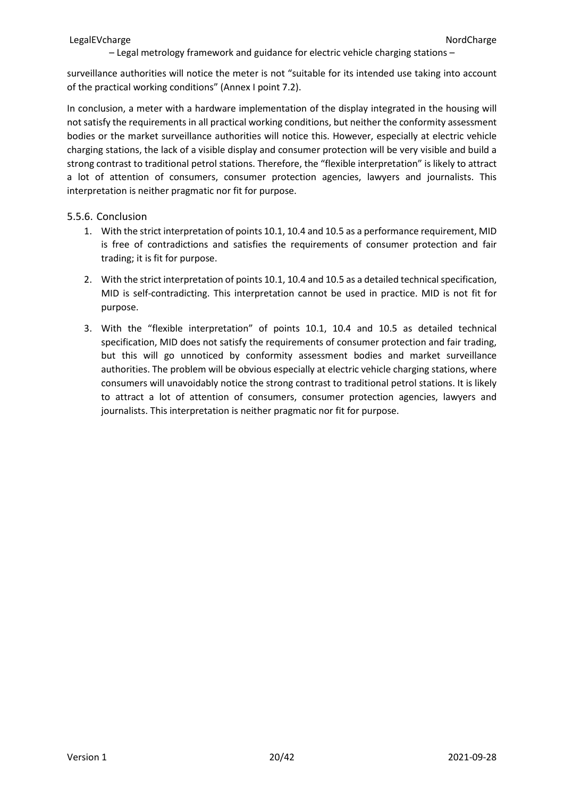surveillance authorities will notice the meter is not "suitable for its intended use taking into account of the practical working conditions" (Annex I point 7.2).

In conclusion, a meter with a hardware implementation of the display integrated in the housing will not satisfy the requirements in all practical working conditions, but neither the conformity assessment bodies or the market surveillance authorities will notice this. However, especially at electric vehicle charging stations, the lack of a visible display and consumer protection will be very visible and build a strong contrast to traditional petrol stations. Therefore, the "flexible interpretation" is likely to attract a lot of attention of consumers, consumer protection agencies, lawyers and journalists. This interpretation is neither pragmatic nor fit for purpose.

### <span id="page-19-0"></span>5.5.6. Conclusion

- 1. With the strict interpretation of points 10.1, 10.4 and 10.5 as a performance requirement, MID is free of contradictions and satisfies the requirements of consumer protection and fair trading; it is fit for purpose.
- 2. With the strict interpretation of points 10.1, 10.4 and 10.5 as a detailed technical specification, MID is self-contradicting. This interpretation cannot be used in practice. MID is not fit for purpose.
- 3. With the "flexible interpretation" of points 10.1, 10.4 and 10.5 as detailed technical specification, MID does not satisfy the requirements of consumer protection and fair trading, but this will go unnoticed by conformity assessment bodies and market surveillance authorities. The problem will be obvious especially at electric vehicle charging stations, where consumers will unavoidably notice the strong contrast to traditional petrol stations. It is likely to attract a lot of attention of consumers, consumer protection agencies, lawyers and journalists. This interpretation is neither pragmatic nor fit for purpose.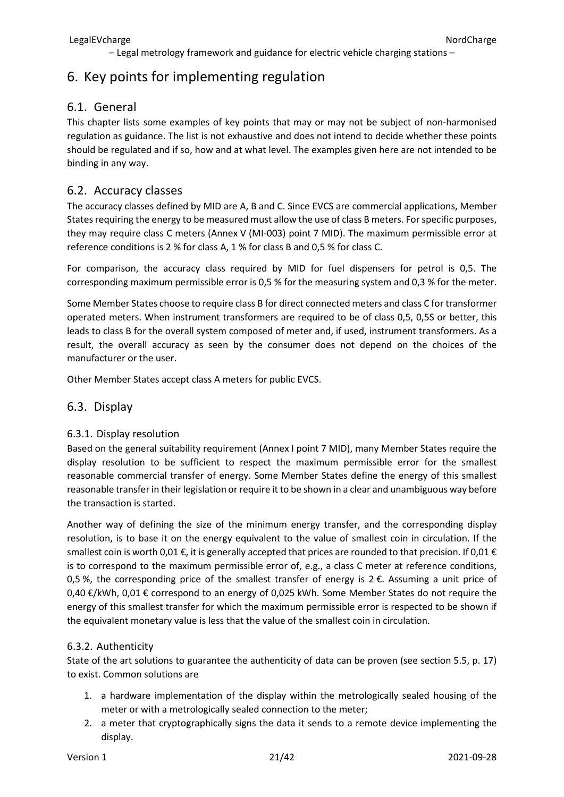# <span id="page-20-0"></span>6. Key points for implementing regulation

### <span id="page-20-1"></span>6.1. General

This chapter lists some examples of key points that may or may not be subject of non-harmonised regulation as guidance. The list is not exhaustive and does not intend to decide whether these points should be regulated and if so, how and at what level. The examples given here are not intended to be binding in any way.

### <span id="page-20-2"></span>6.2. Accuracy classes

The accuracy classes defined by MID are A, B and C. Since EVCS are commercial applications, Member States requiring the energy to be measured must allow the use of class B meters. For specific purposes, they may require class C meters (Annex V (MI-003) point 7 MID). The maximum permissible error at reference conditions is 2 % for class A, 1 % for class B and 0,5 % for class C.

For comparison, the accuracy class required by MID for fuel dispensers for petrol is 0,5. The corresponding maximum permissible error is 0,5 % for the measuring system and 0,3 % for the meter.

Some Member States choose to require class B for direct connected meters and class C for transformer operated meters. When instrument transformers are required to be of class 0,5, 0,5S or better, this leads to class B for the overall system composed of meter and, if used, instrument transformers. As a result, the overall accuracy as seen by the consumer does not depend on the choices of the manufacturer or the user.

Other Member States accept class A meters for public EVCS.

### <span id="page-20-3"></span>6.3. Display

### <span id="page-20-4"></span>6.3.1. Display resolution

Based on the general suitability requirement (Annex I point 7 MID), many Member States require the display resolution to be sufficient to respect the maximum permissible error for the smallest reasonable commercial transfer of energy. Some Member States define the energy of this smallest reasonable transfer in their legislation or require it to be shown in a clear and unambiguous way before the transaction is started.

Another way of defining the size of the minimum energy transfer, and the corresponding display resolution, is to base it on the energy equivalent to the value of smallest coin in circulation. If the smallest coin is worth 0,01  $\epsilon$ , it is generally accepted that prices are rounded to that precision. If 0,01  $\epsilon$ is to correspond to the maximum permissible error of, e.g., a class C meter at reference conditions, 0,5 %, the corresponding price of the smallest transfer of energy is  $2 \epsilon$ . Assuming a unit price of 0,40 €/kWh, 0,01 € correspond to an energy of 0,025 kWh. Some Member States do not require the energy of this smallest transfer for which the maximum permissible error is respected to be shown if the equivalent monetary value is less that the value of the smallest coin in circulation.

### <span id="page-20-5"></span>6.3.2. Authenticity

State of the art solutions to guarantee the authenticity of data can be proven (see section [5.5,](#page-16-1) p. [17\)](#page-16-1) to exist. Common solutions are

- 1. a hardware implementation of the display within the metrologically sealed housing of the meter or with a metrologically sealed connection to the meter;
- 2. a meter that cryptographically signs the data it sends to a remote device implementing the display.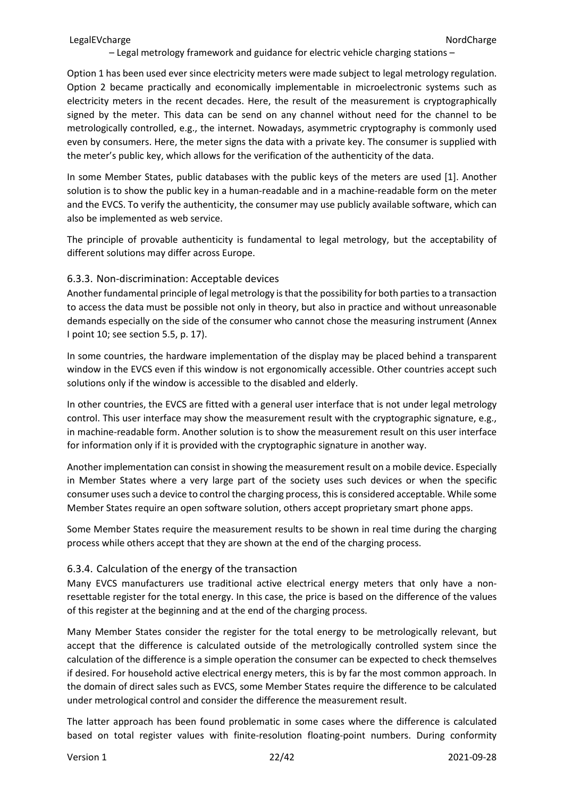Option 1 has been used ever since electricity meters were made subject to legal metrology regulation. Option 2 became practically and economically implementable in microelectronic systems such as electricity meters in the recent decades. Here, the result of the measurement is cryptographically signed by the meter. This data can be send on any channel without need for the channel to be metrologically controlled, e.g., the internet. Nowadays, asymmetric cryptography is commonly used even by consumers. Here, the meter signs the data with a private key. The consumer is supplied with the meter's public key, which allows for the verification of the authenticity of the data.

In some Member States, public databases with the public keys of the meters are used [1]. Another solution is to show the public key in a human-readable and in a machine-readable form on the meter and the EVCS. To verify the authenticity, the consumer may use publicly available software, which can also be implemented as web service.

The principle of provable authenticity is fundamental to legal metrology, but the acceptability of different solutions may differ across Europe.

#### <span id="page-21-0"></span>6.3.3. Non-discrimination: Acceptable devices

Another fundamental principle of legal metrology is that the possibility for both parties to a transaction to access the data must be possible not only in theory, but also in practice and without unreasonable demands especially on the side of the consumer who cannot chose the measuring instrument (Annex I point 10; see section [5.5,](#page-16-1) p. [17\)](#page-16-1).

In some countries, the hardware implementation of the display may be placed behind a transparent window in the EVCS even if this window is not ergonomically accessible. Other countries accept such solutions only if the window is accessible to the disabled and elderly.

In other countries, the EVCS are fitted with a general user interface that is not under legal metrology control. This user interface may show the measurement result with the cryptographic signature, e.g., in machine-readable form. Another solution is to show the measurement result on this user interface for information only if it is provided with the cryptographic signature in another way.

Another implementation can consist in showing the measurement result on a mobile device. Especially in Member States where a very large part of the society uses such devices or when the specific consumer uses such a device to control the charging process, this is considered acceptable. While some Member States require an open software solution, others accept proprietary smart phone apps.

Some Member States require the measurement results to be shown in real time during the charging process while others accept that they are shown at the end of the charging process.

#### <span id="page-21-1"></span>6.3.4. Calculation of the energy of the transaction

Many EVCS manufacturers use traditional active electrical energy meters that only have a nonresettable register for the total energy. In this case, the price is based on the difference of the values of this register at the beginning and at the end of the charging process.

Many Member States consider the register for the total energy to be metrologically relevant, but accept that the difference is calculated outside of the metrologically controlled system since the calculation of the difference is a simple operation the consumer can be expected to check themselves if desired. For household active electrical energy meters, this is by far the most common approach. In the domain of direct sales such as EVCS, some Member States require the difference to be calculated under metrological control and consider the difference the measurement result.

The latter approach has been found problematic in some cases where the difference is calculated based on total register values with finite-resolution floating-point numbers. During conformity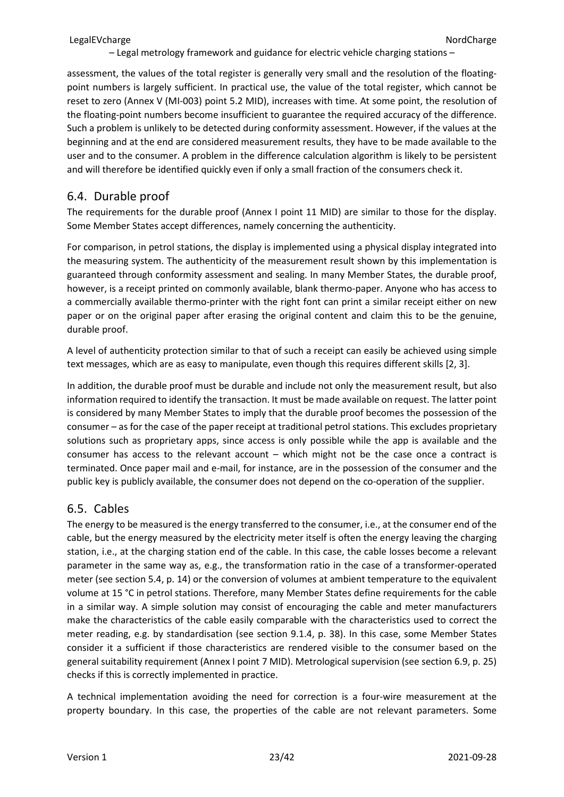assessment, the values of the total register is generally very small and the resolution of the floatingpoint numbers is largely sufficient. In practical use, the value of the total register, which cannot be reset to zero (Annex V (MI-003) point 5.2 MID), increases with time. At some point, the resolution of the floating-point numbers become insufficient to guarantee the required accuracy of the difference. Such a problem is unlikely to be detected during conformity assessment. However, if the values at the beginning and at the end are considered measurement results, they have to be made available to the user and to the consumer. A problem in the difference calculation algorithm is likely to be persistent and will therefore be identified quickly even if only a small fraction of the consumers check it.

### <span id="page-22-0"></span>6.4. Durable proof

The requirements for the durable proof (Annex I point 11 MID) are similar to those for the display. Some Member States accept differences, namely concerning the authenticity.

For comparison, in petrol stations, the display is implemented using a physical display integrated into the measuring system. The authenticity of the measurement result shown by this implementation is guaranteed through conformity assessment and sealing. In many Member States, the durable proof, however, is a receipt printed on commonly available, blank thermo-paper. Anyone who has access to a commercially available thermo-printer with the right font can print a similar receipt either on new paper or on the original paper after erasing the original content and claim this to be the genuine, durable proof.

A level of authenticity protection similar to that of such a receipt can easily be achieved using simple text messages, which are as easy to manipulate, even though this requires different skills [2, 3].

In addition, the durable proof must be durable and include not only the measurement result, but also information required to identify the transaction. It must be made available on request. The latter point is considered by many Member States to imply that the durable proof becomes the possession of the consumer – as for the case of the paper receipt at traditional petrol stations. This excludes proprietary solutions such as proprietary apps, since access is only possible while the app is available and the consumer has access to the relevant account – which might not be the case once a contract is terminated. Once paper mail and e-mail, for instance, are in the possession of the consumer and the public key is publicly available, the consumer does not depend on the co-operation of the supplier.

### <span id="page-22-1"></span>6.5. Cables

The energy to be measured is the energy transferred to the consumer, i.e., at the consumer end of the cable, but the energy measured by the electricity meter itself is often the energy leaving the charging station, i.e., at the charging station end of the cable. In this case, the cable losses become a relevant parameter in the same way as, e.g., the transformation ratio in the case of a transformer-operated meter (see sectio[n 5.4,](#page-13-1) p. [14\)](#page-13-1) or the conversion of volumes at ambient temperature to the equivalent volume at 15 °C in petrol stations. Therefore, many Member States define requirements for the cable in a similar way. A simple solution may consist of encouraging the cable and meter manufacturers make the characteristics of the cable easily comparable with the characteristics used to correct the meter reading, e.g. by standardisation (see section [9.1.4,](#page-37-1) p. [38\)](#page-37-1). In this case, some Member States consider it a sufficient if those characteristics are rendered visible to the consumer based on the general suitability requirement (Annex I point 7 MID). Metrological supervision (see section [6.9,](#page-24-1) p. [25\)](#page-24-1) checks if this is correctly implemented in practice.

A technical implementation avoiding the need for correction is a four-wire measurement at the property boundary. In this case, the properties of the cable are not relevant parameters. Some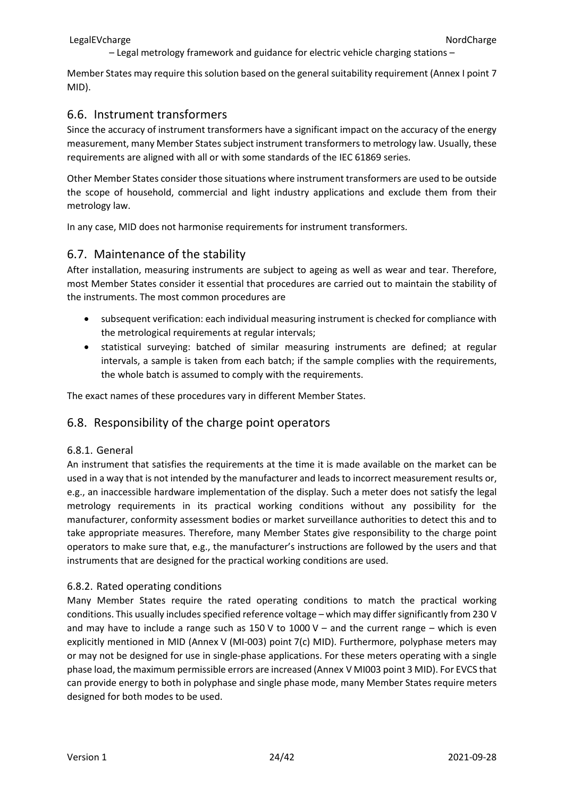Member States may require this solution based on the general suitability requirement (Annex I point 7 MID).

### <span id="page-23-0"></span>6.6. Instrument transformers

Since the accuracy of instrument transformers have a significant impact on the accuracy of the energy measurement, many Member States subject instrument transformers to metrology law. Usually, these requirements are aligned with all or with some standards of the IEC 61869 series.

Other Member States consider those situations where instrument transformers are used to be outside the scope of household, commercial and light industry applications and exclude them from their metrology law.

In any case, MID does not harmonise requirements for instrument transformers.

### <span id="page-23-1"></span>6.7. Maintenance of the stability

After installation, measuring instruments are subject to ageing as well as wear and tear. Therefore, most Member States consider it essential that procedures are carried out to maintain the stability of the instruments. The most common procedures are

- subsequent verification: each individual measuring instrument is checked for compliance with the metrological requirements at regular intervals;
- statistical surveying: batched of similar measuring instruments are defined; at regular intervals, a sample is taken from each batch; if the sample complies with the requirements, the whole batch is assumed to comply with the requirements.

The exact names of these procedures vary in different Member States.

### <span id="page-23-2"></span>6.8. Responsibility of the charge point operators

### <span id="page-23-3"></span>6.8.1. General

An instrument that satisfies the requirements at the time it is made available on the market can be used in a way that is not intended by the manufacturer and leads to incorrect measurement results or, e.g., an inaccessible hardware implementation of the display. Such a meter does not satisfy the legal metrology requirements in its practical working conditions without any possibility for the manufacturer, conformity assessment bodies or market surveillance authorities to detect this and to take appropriate measures. Therefore, many Member States give responsibility to the charge point operators to make sure that, e.g., the manufacturer's instructions are followed by the users and that instruments that are designed for the practical working conditions are used.

### <span id="page-23-4"></span>6.8.2. Rated operating conditions

Many Member States require the rated operating conditions to match the practical working conditions. This usually includes specified reference voltage – which may differ significantly from 230 V and may have to include a range such as  $150 \text{ V}$  to  $1000 \text{ V}$  – and the current range – which is even explicitly mentioned in MID (Annex V (MI-003) point 7(c) MID). Furthermore, polyphase meters may or may not be designed for use in single-phase applications. For these meters operating with a single phase load, the maximum permissible errors are increased (Annex V MI003 point 3 MID). For EVCS that can provide energy to both in polyphase and single phase mode, many Member States require meters designed for both modes to be used.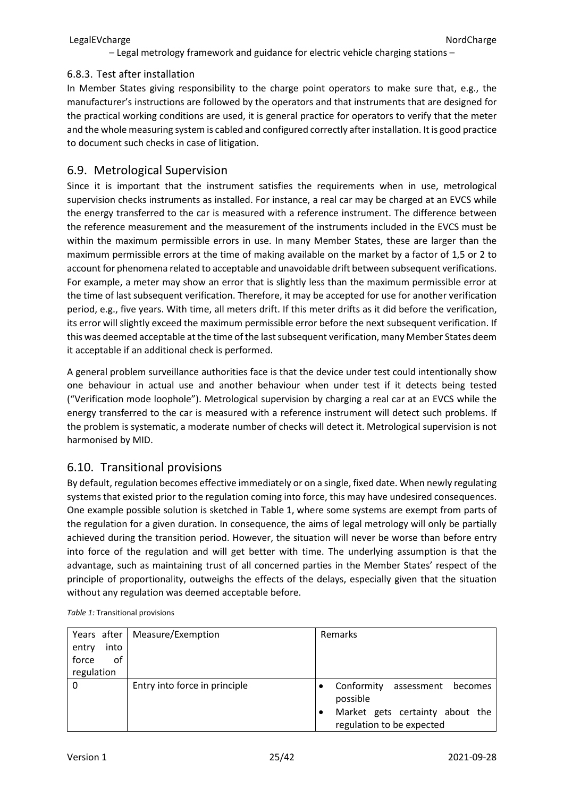#### <span id="page-24-0"></span>6.8.3. Test after installation

In Member States giving responsibility to the charge point operators to make sure that, e.g., the manufacturer's instructions are followed by the operators and that instruments that are designed for the practical working conditions are used, it is general practice for operators to verify that the meter and the whole measuring system is cabled and configured correctly after installation. It is good practice to document such checks in case of litigation.

### <span id="page-24-1"></span>6.9. Metrological Supervision

Since it is important that the instrument satisfies the requirements when in use, metrological supervision checks instruments as installed. For instance, a real car may be charged at an EVCS while the energy transferred to the car is measured with a reference instrument. The difference between the reference measurement and the measurement of the instruments included in the EVCS must be within the maximum permissible errors in use. In many Member States, these are larger than the maximum permissible errors at the time of making available on the market by a factor of 1,5 or 2 to account for phenomena related to acceptable and unavoidable drift between subsequent verifications. For example, a meter may show an error that is slightly less than the maximum permissible error at the time of last subsequent verification. Therefore, it may be accepted for use for another verification period, e.g., five years. With time, all meters drift. If this meter drifts as it did before the verification, its error will slightly exceed the maximum permissible error before the next subsequent verification. If this was deemed acceptable at the time of the last subsequent verification, many Member States deem it acceptable if an additional check is performed.

A general problem surveillance authorities face is that the device under test could intentionally show one behaviour in actual use and another behaviour when under test if it detects being tested ("Verification mode loophole"). Metrological supervision by charging a real car at an EVCS while the energy transferred to the car is measured with a reference instrument will detect such problems. If the problem is systematic, a moderate number of checks will detect it. Metrological supervision is not harmonised by MID.

### <span id="page-24-2"></span>6.10. Transitional provisions

By default, regulation becomes effective immediately or on a single, fixed date. When newly regulating systems that existed prior to the regulation coming into force, this may have undesired consequences. One example possible solution is sketched in [Table](#page-24-3) 1, where some systems are exempt from parts of the regulation for a given duration. In consequence, the aims of legal metrology will only be partially achieved during the transition period. However, the situation will never be worse than before entry into force of the regulation and will get better with time. The underlying assumption is that the advantage, such as maintaining trust of all concerned parties in the Member States' respect of the principle of proportionality, outweighs the effects of the delays, especially given that the situation without any regulation was deemed acceptable before.

| Years after   | Measure/Exemption             | Remarks                                   |
|---------------|-------------------------------|-------------------------------------------|
| into<br>entry |                               |                                           |
| force<br>οf   |                               |                                           |
| regulation    |                               |                                           |
| 0             | Entry into force in principle | Conformity assessment becomes<br>possible |
|               |                               | Market gets certainty about the           |
|               |                               | regulation to be expected                 |

<span id="page-24-3"></span>*Table 1:* Transitional provisions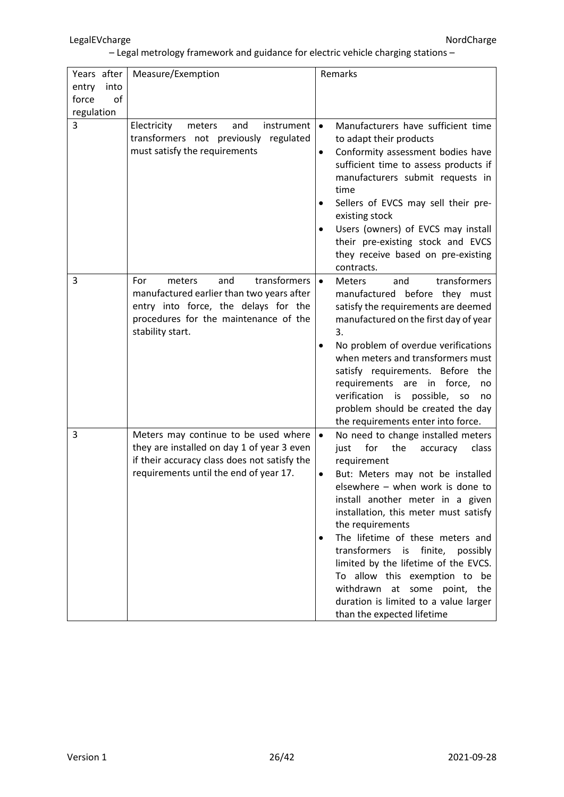| Years after   | Measure/Exemption                                                                                                                                                                      | Remarks                                                                                                                                                                                                                                                                                                                                                                                                                                                                                                                                               |
|---------------|----------------------------------------------------------------------------------------------------------------------------------------------------------------------------------------|-------------------------------------------------------------------------------------------------------------------------------------------------------------------------------------------------------------------------------------------------------------------------------------------------------------------------------------------------------------------------------------------------------------------------------------------------------------------------------------------------------------------------------------------------------|
| entry<br>into |                                                                                                                                                                                        |                                                                                                                                                                                                                                                                                                                                                                                                                                                                                                                                                       |
| force<br>of   |                                                                                                                                                                                        |                                                                                                                                                                                                                                                                                                                                                                                                                                                                                                                                                       |
| regulation    |                                                                                                                                                                                        |                                                                                                                                                                                                                                                                                                                                                                                                                                                                                                                                                       |
| 3             | Electricity<br>instrument<br>meters<br>and<br>transformers not previously regulated<br>must satisfy the requirements                                                                   | Manufacturers have sufficient time<br>$\bullet$<br>to adapt their products<br>Conformity assessment bodies have<br>$\bullet$<br>sufficient time to assess products if<br>manufacturers submit requests in<br>time<br>Sellers of EVCS may sell their pre-<br>$\bullet$<br>existing stock<br>Users (owners) of EVCS may install<br>their pre-existing stock and EVCS<br>they receive based on pre-existing<br>contracts.                                                                                                                                |
| 3             | transformers<br>For<br>meters<br>and<br>manufactured earlier than two years after<br>entry into force, the delays for the<br>procedures for the maintenance of the<br>stability start. | transformers<br>$\bullet$<br><b>Meters</b><br>and<br>manufactured before they must<br>satisfy the requirements are deemed<br>manufactured on the first day of year<br>3.<br>No problem of overdue verifications<br>$\bullet$<br>when meters and transformers must<br>satisfy requirements. Before the<br>requirements are in force,<br>no<br>verification<br>is possible,<br><b>SO</b><br>no<br>problem should be created the day<br>the requirements enter into force.                                                                               |
| 3             | Meters may continue to be used where<br>they are installed on day 1 of year 3 even<br>if their accuracy class does not satisfy the<br>requirements until the end of year 17.           | $\bullet$<br>No need to change installed meters<br>for<br>the<br>just<br>accuracy<br>class<br>requirement<br>But: Meters may not be installed<br>elsewhere - when work is done to<br>install another meter in a given<br>installation, this meter must satisfy<br>the requirements<br>The lifetime of these meters and<br>٠<br>transformers is finite,<br>possibly<br>limited by the lifetime of the EVCS.<br>To allow this exemption to be<br>withdrawn<br>at some point, the<br>duration is limited to a value larger<br>than the expected lifetime |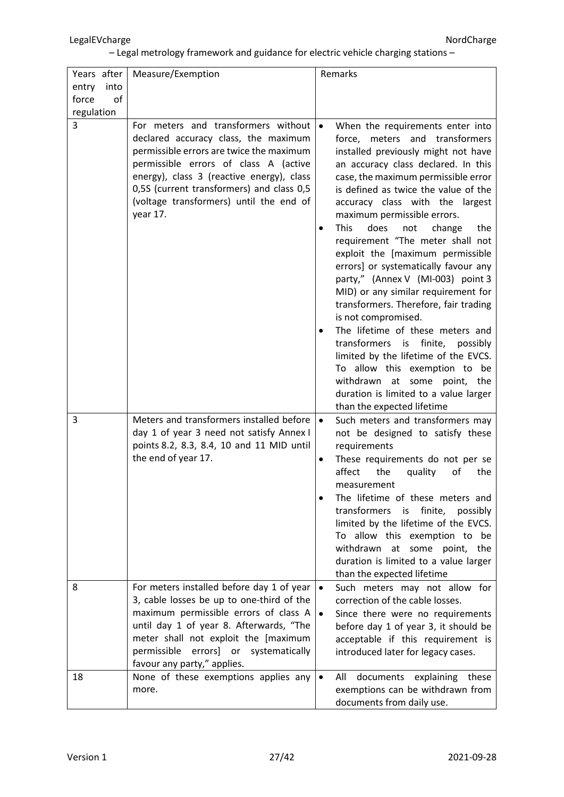| Years after<br>into<br>entry | Measure/Exemption                                                                                                                                                                                                                                                                                                 | Remarks                                                                                                                                                                                                                                                                                                                                                                                                                                                                                                                                                                                                                                                                                                                                                                                                                                                                                           |
|------------------------------|-------------------------------------------------------------------------------------------------------------------------------------------------------------------------------------------------------------------------------------------------------------------------------------------------------------------|---------------------------------------------------------------------------------------------------------------------------------------------------------------------------------------------------------------------------------------------------------------------------------------------------------------------------------------------------------------------------------------------------------------------------------------------------------------------------------------------------------------------------------------------------------------------------------------------------------------------------------------------------------------------------------------------------------------------------------------------------------------------------------------------------------------------------------------------------------------------------------------------------|
| force<br>of                  |                                                                                                                                                                                                                                                                                                                   |                                                                                                                                                                                                                                                                                                                                                                                                                                                                                                                                                                                                                                                                                                                                                                                                                                                                                                   |
| regulation                   |                                                                                                                                                                                                                                                                                                                   |                                                                                                                                                                                                                                                                                                                                                                                                                                                                                                                                                                                                                                                                                                                                                                                                                                                                                                   |
| 3                            | For meters and transformers without<br>declared accuracy class, the maximum<br>permissible errors are twice the maximum<br>permissible errors of class A (active<br>energy), class 3 (reactive energy), class<br>0,5S (current transformers) and class 0,5<br>(voltage transformers) until the end of<br>year 17. | When the requirements enter into<br>$\bullet$<br>force, meters and transformers<br>installed previously might not have<br>an accuracy class declared. In this<br>case, the maximum permissible error<br>is defined as twice the value of the<br>accuracy class with the largest<br>maximum permissible errors.<br><b>This</b><br>does<br>the<br>not<br>change<br>$\bullet$<br>requirement "The meter shall not<br>exploit the [maximum permissible<br>errors] or systematically favour any<br>party," (Annex V (MI-003) point 3<br>MID) or any similar requirement for<br>transformers. Therefore, fair trading<br>is not compromised.<br>The lifetime of these meters and<br>transformers is finite,<br>possibly<br>limited by the lifetime of the EVCS.<br>To allow this exemption to be<br>withdrawn at some point, the<br>duration is limited to a value larger<br>than the expected lifetime |
| 3<br>8                       | Meters and transformers installed before<br>day 1 of year 3 need not satisfy Annex I<br>points 8.2, 8.3, 8.4, 10 and 11 MID until<br>the end of year 17.<br>For meters installed before day 1 of year<br>3, cable losses be up to one-third of the                                                                | Such meters and transformers may<br>$\bullet$<br>not be designed to satisfy these<br>requirements<br>These requirements do not per se<br>$\bullet$<br>affect<br>the<br>quality<br>of<br>the<br>measurement<br>The lifetime of these meters and<br>transformers is<br>finite,<br>possibly<br>limited by the lifetime of the EVCS.<br>To allow this exemption to<br>be<br>withdrawn<br>at<br>some<br>point,<br>the<br>duration is limited to a value larger<br>than the expected lifetime<br>Such meters may not allow for<br>$\bullet$<br>correction of the cable losses.                                                                                                                                                                                                                                                                                                                          |
|                              | maximum permissible errors of class A<br>until day 1 of year 8. Afterwards, "The<br>meter shall not exploit the [maximum<br>permissible<br>errors] or<br>systematically<br>favour any party," applies.                                                                                                            | Since there were no requirements<br>$\bullet$<br>before day 1 of year 3, it should be<br>acceptable if this requirement is<br>introduced later for legacy cases.                                                                                                                                                                                                                                                                                                                                                                                                                                                                                                                                                                                                                                                                                                                                  |
| 18                           | None of these exemptions applies any<br>more.                                                                                                                                                                                                                                                                     | documents<br>explaining<br>All<br>these<br>$\bullet$<br>exemptions can be withdrawn from<br>documents from daily use.                                                                                                                                                                                                                                                                                                                                                                                                                                                                                                                                                                                                                                                                                                                                                                             |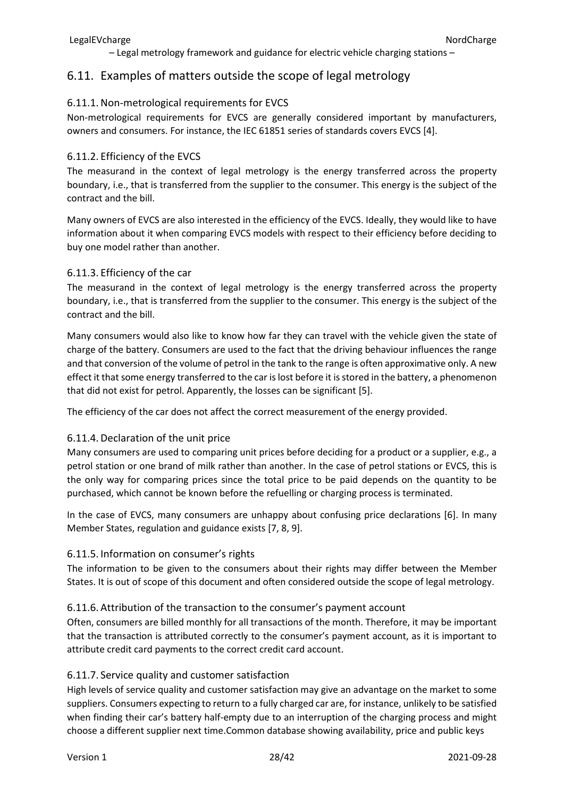### <span id="page-27-0"></span>6.11. Examples of matters outside the scope of legal metrology

### <span id="page-27-1"></span>6.11.1.Non-metrological requirements for EVCS

Non-metrological requirements for EVCS are generally considered important by manufacturers, owners and consumers. For instance, the IEC 61851 series of standards covers EVCS [4].

### <span id="page-27-2"></span>6.11.2. Efficiency of the EVCS

The measurand in the context of legal metrology is the energy transferred across the property boundary, i.e., that is transferred from the supplier to the consumer. This energy is the subject of the contract and the bill.

Many owners of EVCS are also interested in the efficiency of the EVCS. Ideally, they would like to have information about it when comparing EVCS models with respect to their efficiency before deciding to buy one model rather than another.

### <span id="page-27-3"></span>6.11.3. Efficiency of the car

The measurand in the context of legal metrology is the energy transferred across the property boundary, i.e., that is transferred from the supplier to the consumer. This energy is the subject of the contract and the bill.

Many consumers would also like to know how far they can travel with the vehicle given the state of charge of the battery. Consumers are used to the fact that the driving behaviour influences the range and that conversion of the volume of petrol in the tank to the range is often approximative only. A new effect it that some energy transferred to the car is lost before it is stored in the battery, a phenomenon that did not exist for petrol. Apparently, the losses can be significant [5].

The efficiency of the car does not affect the correct measurement of the energy provided.

### <span id="page-27-4"></span>6.11.4. Declaration of the unit price

Many consumers are used to comparing unit prices before deciding for a product or a supplier, e.g., a petrol station or one brand of milk rather than another. In the case of petrol stations or EVCS, this is the only way for comparing prices since the total price to be paid depends on the quantity to be purchased, which cannot be known before the refuelling or charging process is terminated.

In the case of EVCS, many consumers are unhappy about confusing price declarations [6]. In many Member States, regulation and guidance exists [7, 8, 9].

### <span id="page-27-5"></span>6.11.5. Information on consumer's rights

The information to be given to the consumers about their rights may differ between the Member States. It is out of scope of this document and often considered outside the scope of legal metrology.

### <span id="page-27-6"></span>6.11.6. Attribution of the transaction to the consumer's payment account

Often, consumers are billed monthly for all transactions of the month. Therefore, it may be important that the transaction is attributed correctly to the consumer's payment account, as it is important to attribute credit card payments to the correct credit card account.

### <span id="page-27-7"></span>6.11.7. Service quality and customer satisfaction

High levels of service quality and customer satisfaction may give an advantage on the market to some suppliers. Consumers expecting to return to a fully charged car are, for instance, unlikely to be satisfied when finding their car's battery half-empty due to an interruption of the charging process and might choose a different supplier next time.Common database showing availability, price and public keys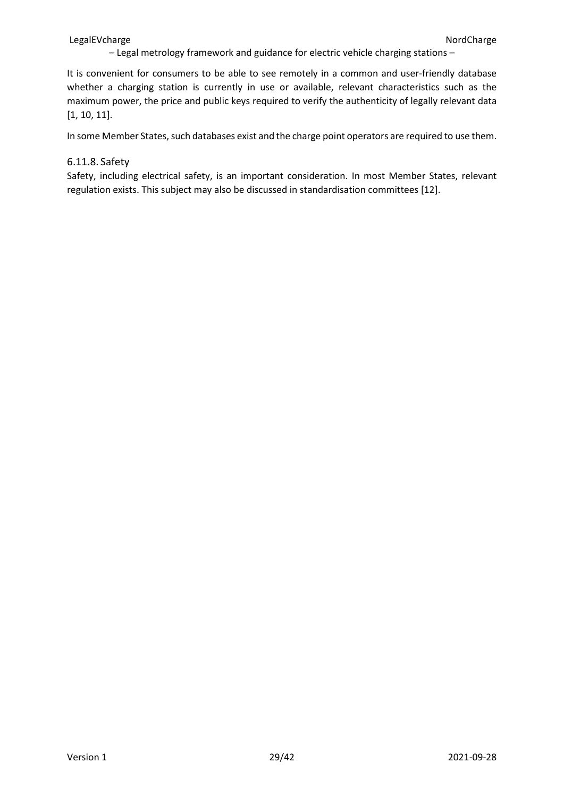#### LegalEVcharge **NordCharge** NordCharge NordCharge NordCharge NordCharge NordCharge NordCharge NordCharge NordCharge NordCharge NordCharge NordCharge NordCharge NordCharge NordCharge NordCharge NordCharge NordCharge NordChar

– Legal metrology framework and guidance for electric vehicle charging stations –

It is convenient for consumers to be able to see remotely in a common and user-friendly database whether a charging station is currently in use or available, relevant characteristics such as the maximum power, the price and public keys required to verify the authenticity of legally relevant data [1, 10, 11].

In some Member States, such databases exist and the charge point operators are required to use them.

#### <span id="page-28-0"></span>6.11.8. Safety

Safety, including electrical safety, is an important consideration. In most Member States, relevant regulation exists. This subject may also be discussed in standardisation committees [12].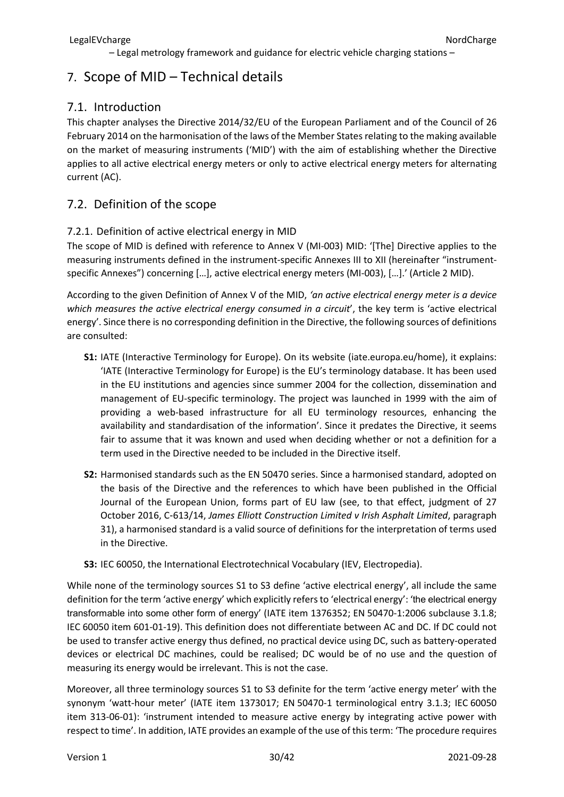# <span id="page-29-0"></span>7. Scope of MID – Technical details

### <span id="page-29-1"></span>7.1. Introduction

This chapter analyses the Directive 2014/32/EU of the European Parliament and of the Council of 26 February 2014 on the harmonisation of the laws of the Member States relating to the making available on the market of measuring instruments ('MID') with the aim of establishing whether the Directive applies to all active electrical energy meters or only to active electrical energy meters for alternating current (AC).

### <span id="page-29-2"></span>7.2. Definition of the scope

### <span id="page-29-3"></span>7.2.1. Definition of active electrical energy in MID

The scope of MID is defined with reference to Annex V (MI-003) MID: '[The] Directive applies to the measuring instruments defined in the instrument-specific Annexes III to XII (hereinafter "instrumentspecific Annexes") concerning […], active electrical energy meters (MI-003), […].' (Article 2 MID).

According to the given Definition of Annex V of the MID, *'an active electrical energy meter is a device which measures the active electrical energy consumed in a circuit*', the key term is 'active electrical energy'. Since there is no corresponding definition in the Directive, the following sources of definitions are consulted:

- **S1:** IATE (Interactive Terminology for Europe). On its website (iate.europa.eu/home), it explains: 'IATE (Interactive Terminology for Europe) is the EU's terminology database. It has been used in the EU institutions and agencies since summer 2004 for the collection, dissemination and management of EU-specific terminology. The project was launched in 1999 with the aim of providing a web-based infrastructure for all EU terminology resources, enhancing the availability and standardisation of the information'. Since it predates the Directive, it seems fair to assume that it was known and used when deciding whether or not a definition for a term used in the Directive needed to be included in the Directive itself.
- **S2:** Harmonised standards such as the EN 50470 series. Since a harmonised standard, adopted on the basis of the Directive and the references to which have been published in the Official Journal of the European Union, forms part of EU law (see, to that effect, judgment of 27 October 2016, C‑613/14, *James Elliott Construction Limited v Irish Asphalt Limited*, paragraph 31), a harmonised standard is a valid source of definitions for the interpretation of terms used in the Directive.
- **S3:** IEC 60050, the International Electrotechnical Vocabulary (IEV, Electropedia).

While none of the terminology sources S1 to S3 define 'active electrical energy', all include the same definition for the term 'active energy' which explicitly refers to 'electrical energy': 'the electrical energy transformable into some other form of energy' (IATE item 1376352; EN 50470-1:2006 subclause 3.1.8; IEC 60050 item 601-01-19). This definition does not differentiate between AC and DC. If DC could not be used to transfer active energy thus defined, no practical device using DC, such as battery-operated devices or electrical DC machines, could be realised; DC would be of no use and the question of measuring its energy would be irrelevant. This is not the case.

Moreover, all three terminology sources S1 to S3 definite for the term 'active energy meter' with the synonym 'watt-hour meter' (IATE item 1373017; EN 50470-1 terminological entry 3.1.3; IEC 60050 item 313-06-01): 'instrument intended to measure active energy by integrating active power with respect to time'. In addition, IATE provides an example of the use of this term: 'The procedure requires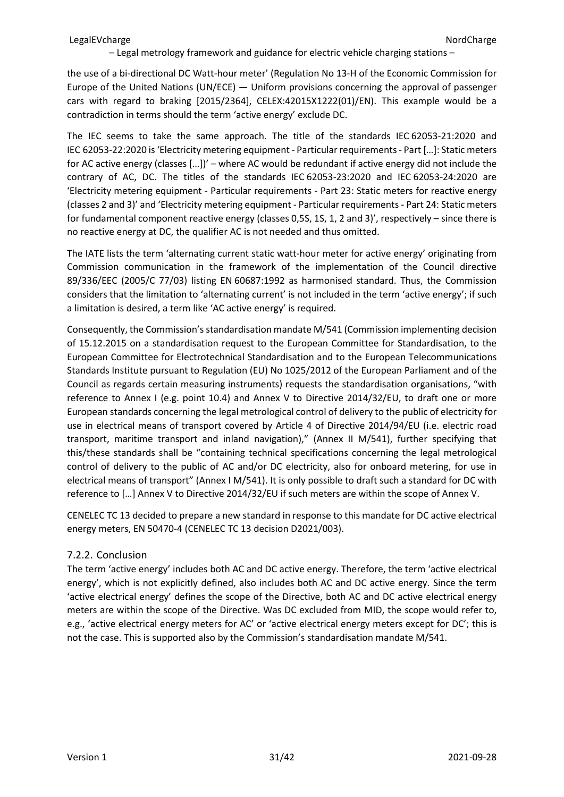the use of a bi-directional DC Watt-hour meter' (Regulation No 13-H of the Economic Commission for Europe of the United Nations (UN/ECE) — Uniform provisions concerning the approval of passenger cars with regard to braking [2015/2364], CELEX:42015X1222(01)/EN). This example would be a contradiction in terms should the term 'active energy' exclude DC.

The IEC seems to take the same approach. The title of the standards IEC 62053-21:2020 and IEC 62053-22:2020 is 'Electricity metering equipment - Particular requirements - Part […]: Static meters for AC active energy (classes […])' – where AC would be redundant if active energy did not include the contrary of AC, DC. The titles of the standards IEC 62053-23:2020 and IEC 62053-24:2020 are 'Electricity metering equipment - Particular requirements - Part 23: Static meters for reactive energy (classes 2 and 3)' and 'Electricity metering equipment - Particular requirements - Part 24: Static meters for fundamental component reactive energy (classes 0,5S, 1S, 1, 2 and 3)', respectively – since there is no reactive energy at DC, the qualifier AC is not needed and thus omitted.

The IATE lists the term 'alternating current static watt-hour meter for active energy' originating from Commission communication in the framework of the implementation of the Council directive 89/336/EEC (2005/C 77/03) listing EN 60687:1992 as harmonised standard. Thus, the Commission considers that the limitation to 'alternating current' is not included in the term 'active energy'; if such a limitation is desired, a term like 'AC active energy' is required.

Consequently, the Commission's standardisation mandate M/541 (Commission implementing decision of 15.12.2015 on a standardisation request to the European Committee for Standardisation, to the European Committee for Electrotechnical Standardisation and to the European Telecommunications Standards Institute pursuant to Regulation (EU) No 1025/2012 of the European Parliament and of the Council as regards certain measuring instruments) requests the standardisation organisations, "with reference to Annex I (e.g. point 10.4) and Annex V to Directive 2014/32/EU, to draft one or more European standards concerning the legal metrological control of delivery to the public of electricity for use in electrical means of transport covered by Article 4 of Directive 2014/94/EU (i.e. electric road transport, maritime transport and inland navigation)," (Annex II M/541), further specifying that this/these standards shall be "containing technical specifications concerning the legal metrological control of delivery to the public of AC and/or DC electricity, also for onboard metering, for use in electrical means of transport" (Annex I M/541). It is only possible to draft such a standard for DC with reference to […] Annex V to Directive 2014/32/EU if such meters are within the scope of Annex V.

CENELEC TC 13 decided to prepare a new standard in response to this mandate for DC active electrical energy meters, EN 50470-4 (CENELEC TC 13 decision D2021/003).

### <span id="page-30-0"></span>7.2.2. Conclusion

The term 'active energy' includes both AC and DC active energy. Therefore, the term 'active electrical energy', which is not explicitly defined, also includes both AC and DC active energy. Since the term 'active electrical energy' defines the scope of the Directive, both AC and DC active electrical energy meters are within the scope of the Directive. Was DC excluded from MID, the scope would refer to, e.g., 'active electrical energy meters for AC' or 'active electrical energy meters except for DC'; this is not the case. This is supported also by the Commission's standardisation mandate M/541.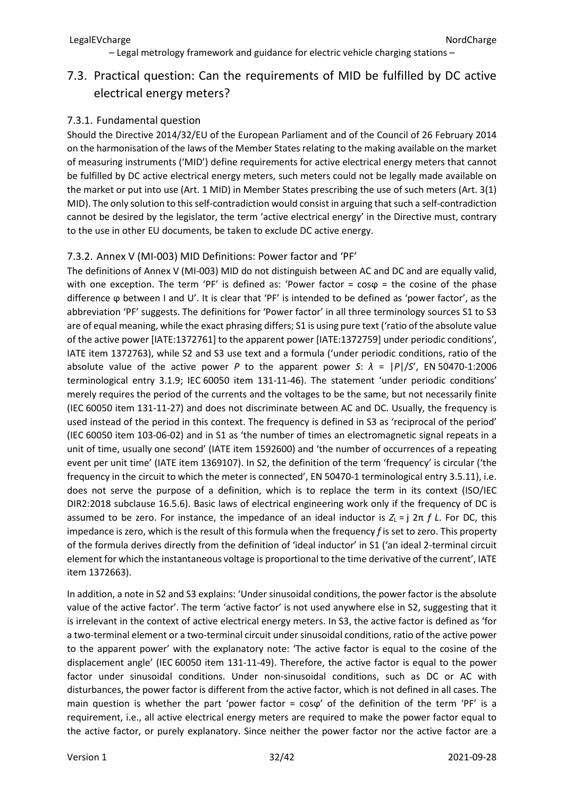# <span id="page-31-0"></span>7.3. Practical question: Can the requirements of MID be fulfilled by DC active electrical energy meters?

### <span id="page-31-1"></span>7.3.1. Fundamental question

Should the Directive 2014/32/EU of the European Parliament and of the Council of 26 February 2014 on the harmonisation of the laws of the Member States relating to the making available on the market of measuring instruments ('MID') define requirements for active electrical energy meters that cannot be fulfilled by DC active electrical energy meters, such meters could not be legally made available on the market or put into use (Art. 1 MID) in Member States prescribing the use of such meters (Art. 3(1) MID). The only solution to this self-contradiction would consist in arguing that such a self-contradiction cannot be desired by the legislator, the term 'active electrical energy' in the Directive must, contrary to the use in other EU documents, be taken to exclude DC active energy.

### <span id="page-31-2"></span>7.3.2. Annex V (MI-003) MID Definitions: Power factor and 'PF'

The definitions of Annex V (MI-003) MID do not distinguish between AC and DC and are equally valid, with one exception. The term 'PF' is defined as: 'Power factor =  $cos\varphi$  = the cosine of the phase difference ϕ between I and U'. It is clear that 'PF' is intended to be defined as 'power factor', as the abbreviation 'PF' suggests. The definitions for 'Power factor' in all three terminology sources S1 to S3 are of equal meaning, while the exact phrasing differs; S1 is using pure text ('ratio of the absolute value of the active power [IATE:1372761] to the apparent power [IATE:1372759] under periodic conditions', IATE item 1372763), while S2 and S3 use text and a formula ('under periodic conditions, ratio of the absolute value of the active power *P* to the apparent power *S*:  $\lambda = |P|/S'$ , EN 50470-1:2006 terminological entry 3.1.9; IEC 60050 item 131-11-46). The statement 'under periodic conditions' merely requires the period of the currents and the voltages to be the same, but not necessarily finite (IEC 60050 item 131-11-27) and does not discriminate between AC and DC. Usually, the frequency is used instead of the period in this context. The frequency is defined in S3 as 'reciprocal of the period' (IEC 60050 item 103-06-02) and in S1 as 'the number of times an electromagnetic signal repeats in a unit of time, usually one second' (IATE item 1592600) and 'the number of occurrences of a repeating event per unit time' (IATE item 1369107). In S2, the definition of the term 'frequency' is circular ('the frequency in the circuit to which the meter is connected', EN 50470-1 terminological entry 3.5.11), i.e. does not serve the purpose of a definition, which is to replace the term in its context (ISO/IEC DIR2:2018 subclause 16.5.6). Basic laws of electrical engineering work only if the frequency of DC is assumed to be zero. For instance, the impedance of an ideal inductor is  $Z$ <sub>L</sub> = j 2π *f L*. For DC, this impedance is zero, which is the result of this formula when the frequency *f* is set to zero. This property of the formula derives directly from the definition of 'ideal inductor' in S1 ('an ideal 2-terminal circuit element for which the instantaneous voltage is proportional to the time derivative of the current', IATE item 1372663).

In addition, a note in S2 and S3 explains: 'Under sinusoidal conditions, the power factor is the absolute value of the active factor'. The term 'active factor' is not used anywhere else in S2, suggesting that it is irrelevant in the context of active electrical energy meters. In S3, the active factor is defined as 'for a two-terminal element or a two-terminal circuit under sinusoidal conditions, ratio of the active power to the apparent power' with the explanatory note: 'The active factor is equal to the cosine of the displacement angle' (IEC 60050 item 131-11-49). Therefore, the active factor is equal to the power factor under sinusoidal conditions. Under non-sinusoidal conditions, such as DC or AC with disturbances, the power factor is different from the active factor, which is not defined in all cases. The main question is whether the part 'power factor =  $cos\varphi'$  of the definition of the term 'PF' is a requirement, i.e., all active electrical energy meters are required to make the power factor equal to the active factor, or purely explanatory. Since neither the power factor nor the active factor are a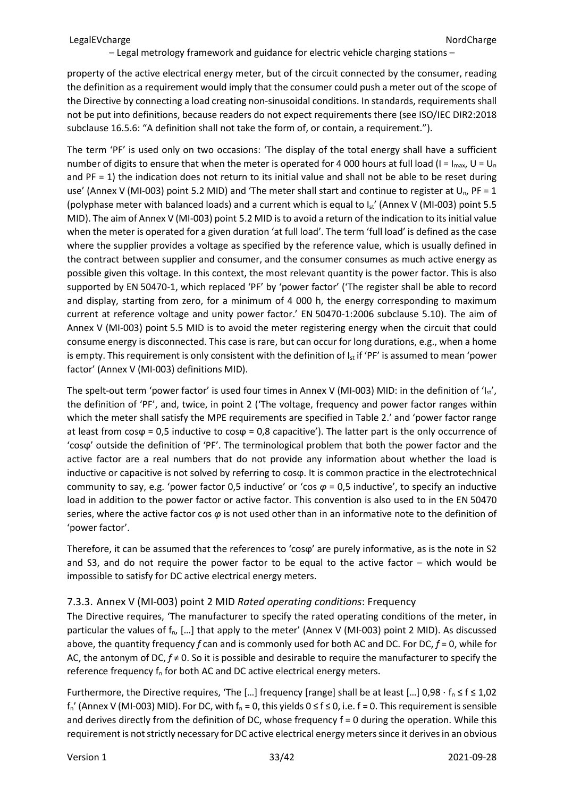property of the active electrical energy meter, but of the circuit connected by the consumer, reading the definition as a requirement would imply that the consumer could push a meter out of the scope of the Directive by connecting a load creating non-sinusoidal conditions. In standards, requirements shall not be put into definitions, because readers do not expect requirements there (see ISO/IEC DIR2:2018 subclause 16.5.6: "A definition shall not take the form of, or contain, a requirement.").

The term 'PF' is used only on two occasions: 'The display of the total energy shall have a sufficient number of digits to ensure that when the meter is operated for 4 000 hours at full load (I = I<sub>max</sub>, U = U<sub>n</sub> and PF = 1) the indication does not return to its initial value and shall not be able to be reset during use' (Annex V (MI-003) point 5.2 MID) and 'The meter shall start and continue to register at  $U_n$ , PF = 1 (polyphase meter with balanced loads) and a current which is equal to  $I_{st}$ ' (Annex V (MI-003) point 5.5 MID). The aim of Annex V (MI-003) point 5.2 MID is to avoid a return of the indication to its initial value when the meter is operated for a given duration 'at full load'. The term 'full load' is defined as the case where the supplier provides a voltage as specified by the reference value, which is usually defined in the contract between supplier and consumer, and the consumer consumes as much active energy as possible given this voltage. In this context, the most relevant quantity is the power factor. This is also supported by EN 50470-1, which replaced 'PF' by 'power factor' ('The register shall be able to record and display, starting from zero, for a minimum of 4 000 h, the energy corresponding to maximum current at reference voltage and unity power factor.' EN 50470-1:2006 subclause 5.10). The aim of Annex V (MI-003) point 5.5 MID is to avoid the meter registering energy when the circuit that could consume energy is disconnected. This case is rare, but can occur for long durations, e.g., when a home is empty. This requirement is only consistent with the definition of  $I_{st}$  if 'PF' is assumed to mean 'power factor' (Annex V (MI-003) definitions MID).

The spelt-out term 'power factor' is used four times in Annex V (MI-003) MID: in the definition of 'Ist', the definition of 'PF', and, twice, in point 2 ('The voltage, frequency and power factor ranges within which the meter shall satisfy the MPE requirements are specified in Table 2.' and 'power factor range at least from  $cos\phi = 0.5$  inductive to  $cos\phi = 0.8$  capacitive'). The latter part is the only occurrence of 'cosϕ' outside the definition of 'PF'. The terminological problem that both the power factor and the active factor are a real numbers that do not provide any information about whether the load is inductive or capacitive is not solved by referring to cosϕ. It is common practice in the electrotechnical community to say, e.g. 'power factor 0,5 inductive' or 'cos  $\varphi$  = 0,5 inductive', to specify an inductive load in addition to the power factor or active factor. This convention is also used to in the EN 50470 series, where the active factor cos *φ* is not used other than in an informative note to the definition of 'power factor'.

Therefore, it can be assumed that the references to 'cosϕ' are purely informative, as is the note in S2 and S3, and do not require the power factor to be equal to the active factor – which would be impossible to satisfy for DC active electrical energy meters.

### <span id="page-32-0"></span>7.3.3. Annex V (MI-003) point 2 MID *Rated operating conditions*: Frequency

The Directive requires, 'The manufacturer to specify the rated operating conditions of the meter, in particular the values of  $f_{n}$ , [...] that apply to the meter' (Annex V (MI-003) point 2 MID). As discussed above, the quantity frequency *f* can and is commonly used for both AC and DC. For DC, *f* = 0, while for AC, the antonym of DC, *f* ≠ 0. So it is possible and desirable to require the manufacturer to specify the reference frequency  $f_n$  for both AC and DC active electrical energy meters.

Furthermore, the Directive requires, 'The […] frequency [range] shall be at least […] 0,98  $\cdot$  f<sub>n</sub>  $\leq$  f  $\leq$  1,02  $f_n'$  (Annex V (MI-003) MID). For DC, with  $f_n = 0$ , this yields  $0 \le f \le 0$ , i.e. f = 0. This requirement is sensible and derives directly from the definition of DC, whose frequency f = 0 during the operation. While this requirement is not strictly necessary for DC active electrical energy meters since it derives in an obvious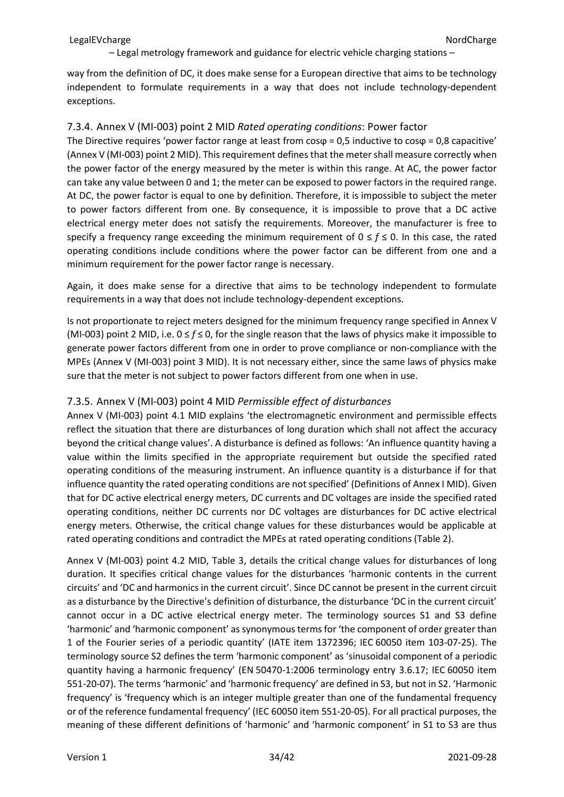way from the definition of DC, it does make sense for a European directive that aims to be technology independent to formulate requirements in a way that does not include technology-dependent exceptions.

#### <span id="page-33-0"></span>7.3.4. Annex V (MI-003) point 2 MID *Rated operating conditions*: Power factor

The Directive requires 'power factor range at least from  $cos\varphi = 0.5$  inductive to  $cos\varphi = 0.8$  capacitive' (Annex V (MI-003) point 2 MID). This requirement defines that the meter shall measure correctly when the power factor of the energy measured by the meter is within this range. At AC, the power factor can take any value between 0 and 1; the meter can be exposed to power factors in the required range. At DC, the power factor is equal to one by definition. Therefore, it is impossible to subject the meter to power factors different from one. By consequence, it is impossible to prove that a DC active electrical energy meter does not satisfy the requirements. Moreover, the manufacturer is free to specify a frequency range exceeding the minimum requirement of  $0 \le f \le 0$ . In this case, the rated operating conditions include conditions where the power factor can be different from one and a minimum requirement for the power factor range is necessary.

Again, it does make sense for a directive that aims to be technology independent to formulate requirements in a way that does not include technology-dependent exceptions.

Is not proportionate to reject meters designed for the minimum frequency range specified in Annex V (MI-003) point 2 MID, i.e. 0 ≤ *f* ≤ 0, for the single reason that the laws of physics make it impossible to generate power factors different from one in order to prove compliance or non-compliance with the MPEs (Annex V (MI-003) point 3 MID). It is not necessary either, since the same laws of physics make sure that the meter is not subject to power factors different from one when in use.

### <span id="page-33-1"></span>7.3.5. Annex V (MI-003) point 4 MID *Permissible effect of disturbances*

Annex V (MI-003) point 4.1 MID explains 'the electromagnetic environment and permissible effects reflect the situation that there are disturbances of long duration which shall not affect the accuracy beyond the critical change values'. A disturbance is defined as follows: 'An influence quantity having a value within the limits specified in the appropriate requirement but outside the specified rated operating conditions of the measuring instrument. An influence quantity is a disturbance if for that influence quantity the rated operating conditions are not specified' (Definitions of Annex I MID). Given that for DC active electrical energy meters, DC currents and DC voltages are inside the specified rated operating conditions, neither DC currents nor DC voltages are disturbances for DC active electrical energy meters. Otherwise, the critical change values for these disturbances would be applicable at rated operating conditions and contradict the MPEs at rated operating conditions (Table 2).

Annex V (MI-003) point 4.2 MID, Table 3, details the critical change values for disturbances of long duration. It specifies critical change values for the disturbances 'harmonic contents in the current circuits' and 'DC and harmonics in the current circuit'. Since DC cannot be present in the current circuit as a disturbance by the Directive's definition of disturbance, the disturbance 'DC in the current circuit' cannot occur in a DC active electrical energy meter. The terminology sources S1 and S3 define 'harmonic' and 'harmonic component' as synonymous terms for 'the component of order greater than 1 of the Fourier series of a periodic quantity' (IATE item 1372396; IEC 60050 item 103-07-25). The terminology source S2 defines the term 'harmonic component' as 'sinusoidal component of a periodic quantity having a harmonic frequency' (EN 50470-1:2006 terminology entry 3.6.17; IEC 60050 item 551-20-07). The terms 'harmonic' and 'harmonic frequency' are defined in S3, but not in S2. 'Harmonic frequency' is 'frequency which is an integer multiple greater than one of the fundamental frequency or of the reference fundamental frequency' (IEC 60050 item 551-20-05). For all practical purposes, the meaning of these different definitions of 'harmonic' and 'harmonic component' in S1 to S3 are thus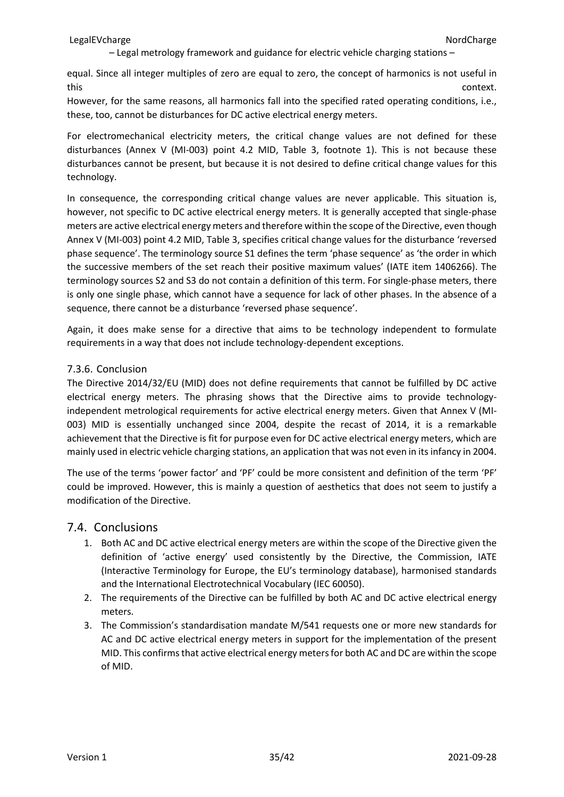equal. Since all integer multiples of zero are equal to zero, the concept of harmonics is not useful in this context.

However, for the same reasons, all harmonics fall into the specified rated operating conditions, i.e., these, too, cannot be disturbances for DC active electrical energy meters.

For electromechanical electricity meters, the critical change values are not defined for these disturbances (Annex V (MI-003) point 4.2 MID, Table 3, footnote 1). This is not because these disturbances cannot be present, but because it is not desired to define critical change values for this technology.

In consequence, the corresponding critical change values are never applicable. This situation is, however, not specific to DC active electrical energy meters. It is generally accepted that single-phase meters are active electrical energy meters and therefore within the scope of the Directive, even though Annex V (MI-003) point 4.2 MID, Table 3, specifies critical change values for the disturbance 'reversed phase sequence'. The terminology source S1 defines the term 'phase sequence' as 'the order in which the successive members of the set reach their positive maximum values' (IATE item 1406266). The terminology sources S2 and S3 do not contain a definition of this term. For single-phase meters, there is only one single phase, which cannot have a sequence for lack of other phases. In the absence of a sequence, there cannot be a disturbance 'reversed phase sequence'.

Again, it does make sense for a directive that aims to be technology independent to formulate requirements in a way that does not include technology-dependent exceptions.

#### <span id="page-34-0"></span>7.3.6. Conclusion

The Directive 2014/32/EU (MID) does not define requirements that cannot be fulfilled by DC active electrical energy meters. The phrasing shows that the Directive aims to provide technologyindependent metrological requirements for active electrical energy meters. Given that Annex V (MI-003) MID is essentially unchanged since 2004, despite the recast of 2014, it is a remarkable achievement that the Directive is fit for purpose even for DC active electrical energy meters, which are mainly used in electric vehicle charging stations, an application that was not even in its infancy in 2004.

The use of the terms 'power factor' and 'PF' could be more consistent and definition of the term 'PF' could be improved. However, this is mainly a question of aesthetics that does not seem to justify a modification of the Directive.

### <span id="page-34-1"></span>7.4. Conclusions

- 1. Both AC and DC active electrical energy meters are within the scope of the Directive given the definition of 'active energy' used consistently by the Directive, the Commission, IATE (Interactive Terminology for Europe, the EU's terminology database), harmonised standards and the International Electrotechnical Vocabulary (IEC 60050).
- 2. The requirements of the Directive can be fulfilled by both AC and DC active electrical energy meters.
- 3. The Commission's standardisation mandate M/541 requests one or more new standards for AC and DC active electrical energy meters in support for the implementation of the present MID. This confirms that active electrical energy meters for both AC and DC are within the scope of MID.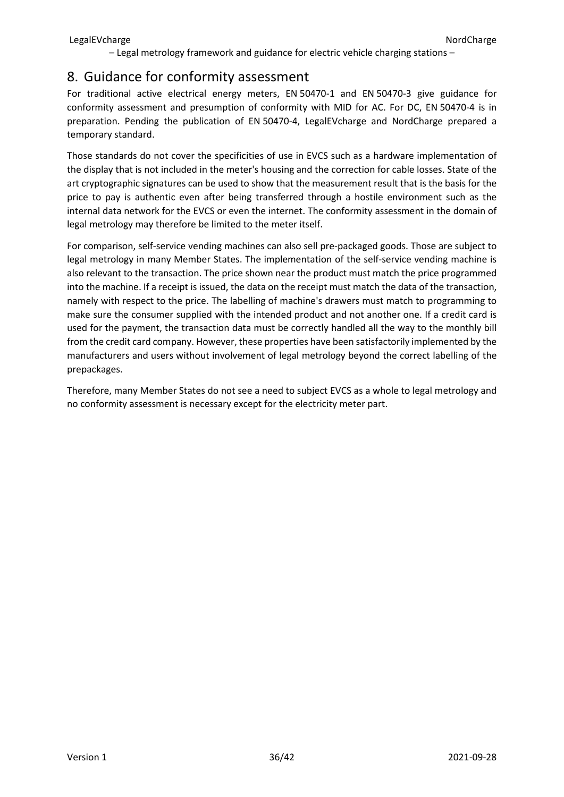# <span id="page-35-0"></span>8. Guidance for conformity assessment

For traditional active electrical energy meters, EN 50470-1 and EN 50470-3 give guidance for conformity assessment and presumption of conformity with MID for AC. For DC, EN 50470-4 is in preparation. Pending the publication of EN 50470-4, LegalEVcharge and NordCharge prepared a temporary standard.

Those standards do not cover the specificities of use in EVCS such as a hardware implementation of the display that is not included in the meter's housing and the correction for cable losses. State of the art cryptographic signatures can be used to show that the measurement result that is the basis for the price to pay is authentic even after being transferred through a hostile environment such as the internal data network for the EVCS or even the internet. The conformity assessment in the domain of legal metrology may therefore be limited to the meter itself.

For comparison, self-service vending machines can also sell pre-packaged goods. Those are subject to legal metrology in many Member States. The implementation of the self-service vending machine is also relevant to the transaction. The price shown near the product must match the price programmed into the machine. If a receipt is issued, the data on the receipt must match the data of the transaction, namely with respect to the price. The labelling of machine's drawers must match to programming to make sure the consumer supplied with the intended product and not another one. If a credit card is used for the payment, the transaction data must be correctly handled all the way to the monthly bill from the credit card company. However, these properties have been satisfactorily implemented by the manufacturers and users without involvement of legal metrology beyond the correct labelling of the prepackages.

Therefore, many Member States do not see a need to subject EVCS as a whole to legal metrology and no conformity assessment is necessary except for the electricity meter part.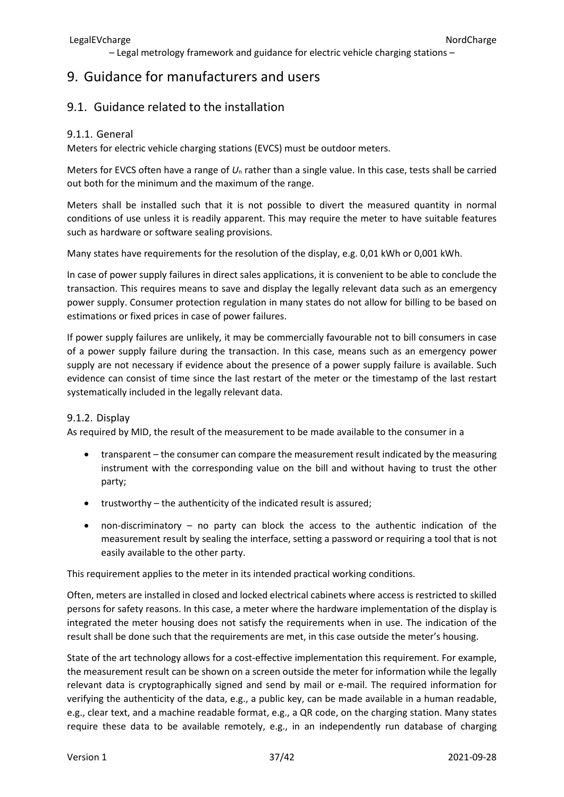# <span id="page-36-0"></span>9. Guidance for manufacturers and users

### <span id="page-36-1"></span>9.1. Guidance related to the installation

### <span id="page-36-2"></span>9.1.1. General

Meters for electric vehicle charging stations (EVCS) must be outdoor meters.

Meters for EVCS often have a range of *U*<sup>n</sup> rather than a single value. In this case, tests shall be carried out both for the minimum and the maximum of the range.

Meters shall be installed such that it is not possible to divert the measured quantity in normal conditions of use unless it is readily apparent. This may require the meter to have suitable features such as hardware or software sealing provisions.

Many states have requirements for the resolution of the display, e.g. 0,01 kWh or 0,001 kWh.

In case of power supply failures in direct sales applications, it is convenient to be able to conclude the transaction. This requires means to save and display the legally relevant data such as an emergency power supply. Consumer protection regulation in many states do not allow for billing to be based on estimations or fixed prices in case of power failures.

If power supply failures are unlikely, it may be commercially favourable not to bill consumers in case of a power supply failure during the transaction. In this case, means such as an emergency power supply are not necessary if evidence about the presence of a power supply failure is available. Such evidence can consist of time since the last restart of the meter or the timestamp of the last restart systematically included in the legally relevant data.

### <span id="page-36-3"></span>9.1.2. Display

As required by MID, the result of the measurement to be made available to the consumer in a

- transparent the consumer can compare the measurement result indicated by the measuring instrument with the corresponding value on the bill and without having to trust the other party;
- trustworthy the authenticity of the indicated result is assured;
- non-discriminatory no party can block the access to the authentic indication of the measurement result by sealing the interface, setting a password or requiring a tool that is not easily available to the other party.

This requirement applies to the meter in its intended practical working conditions.

Often, meters are installed in closed and locked electrical cabinets where access is restricted to skilled persons for safety reasons. In this case, a meter where the hardware implementation of the display is integrated the meter housing does not satisfy the requirements when in use. The indication of the result shall be done such that the requirements are met, in this case outside the meter's housing.

State of the art technology allows for a cost-effective implementation this requirement. For example, the measurement result can be shown on a screen outside the meter for information while the legally relevant data is cryptographically signed and send by mail or e-mail. The required information for verifying the authenticity of the data, e.g., a public key, can be made available in a human readable, e.g., clear text, and a machine readable format, e.g., a QR code, on the charging station. Many states require these data to be available remotely, e.g., in an independently run database of charging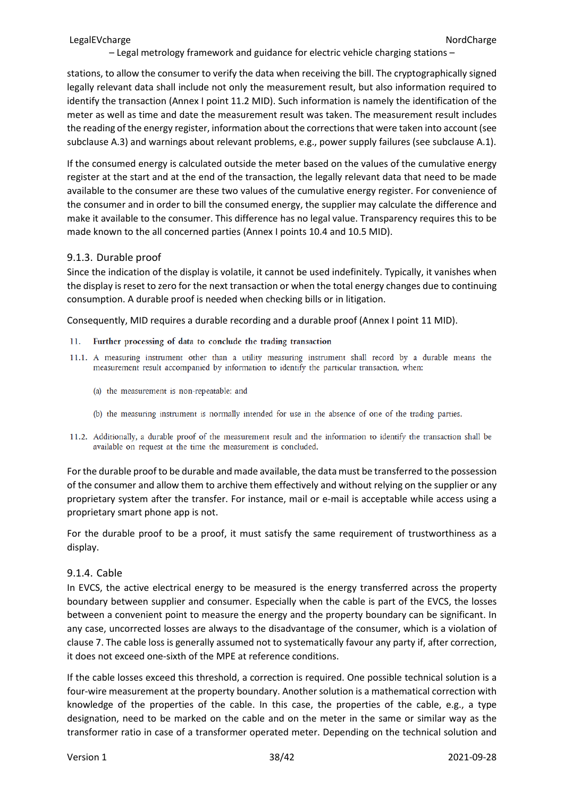stations, to allow the consumer to verify the data when receiving the bill. The cryptographically signed legally relevant data shall include not only the measurement result, but also information required to identify the transaction (Annex I point 11.2 MID). Such information is namely the identification of the meter as well as time and date the measurement result was taken. The measurement result includes the reading of the energy register, information about the corrections that were taken into account (see subclause A.3) and warnings about relevant problems, e.g., power supply failures (see subclause A.1).

If the consumed energy is calculated outside the meter based on the values of the cumulative energy register at the start and at the end of the transaction, the legally relevant data that need to be made available to the consumer are these two values of the cumulative energy register. For convenience of the consumer and in order to bill the consumed energy, the supplier may calculate the difference and make it available to the consumer. This difference has no legal value. Transparency requires this to be made known to the all concerned parties (Annex I points 10.4 and 10.5 MID).

#### <span id="page-37-0"></span>9.1.3. Durable proof

Since the indication of the display is volatile, it cannot be used indefinitely. Typically, it vanishes when the display is reset to zero for the next transaction or when the total energy changes due to continuing consumption. A durable proof is needed when checking bills or in litigation.

Consequently, MID requires a durable recording and a durable proof (Annex I point 11 MID).

- Further processing of data to conclude the trading transaction  $11$
- 11.1. A measuring instrument other than a utility measuring instrument shall record by a durable means the measurement result accompanied by information to identify the particular transaction, when:
	- (a) the measurement is non-repeatable; and
	- (b) the measuring instrument is normally intended for use in the absence of one of the trading parties.
- 11.2. Additionally, a durable proof of the measurement result and the information to identify the transaction shall be available on request at the time the measurement is concluded.

For the durable proof to be durable and made available, the data must be transferred to the possession of the consumer and allow them to archive them effectively and without relying on the supplier or any proprietary system after the transfer. For instance, mail or e-mail is acceptable while access using a proprietary smart phone app is not.

For the durable proof to be a proof, it must satisfy the same requirement of trustworthiness as a display.

#### <span id="page-37-1"></span>9.1.4. Cable

In EVCS, the active electrical energy to be measured is the energy transferred across the property boundary between supplier and consumer. Especially when the cable is part of the EVCS, the losses between a convenient point to measure the energy and the property boundary can be significant. In any case, uncorrected losses are always to the disadvantage of the consumer, which is a violation of clause 7. The cable loss is generally assumed not to systematically favour any party if, after correction, it does not exceed one-sixth of the MPE at reference conditions.

If the cable losses exceed this threshold, a correction is required. One possible technical solution is a four-wire measurement at the property boundary. Another solution is a mathematical correction with knowledge of the properties of the cable. In this case, the properties of the cable, e.g., a type designation, need to be marked on the cable and on the meter in the same or similar way as the transformer ratio in case of a transformer operated meter. Depending on the technical solution and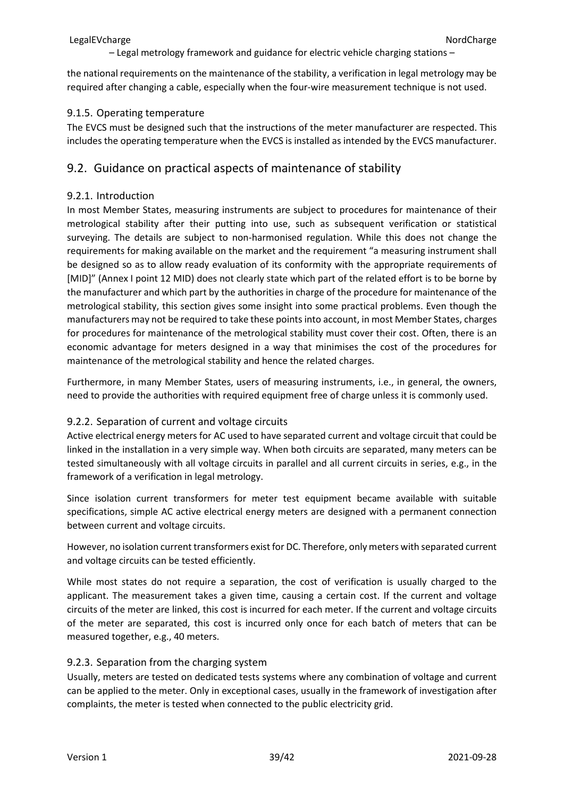the national requirements on the maintenance of the stability, a verification in legal metrology may be required after changing a cable, especially when the four-wire measurement technique is not used.

### <span id="page-38-0"></span>9.1.5. Operating temperature

The EVCS must be designed such that the instructions of the meter manufacturer are respected. This includes the operating temperature when the EVCS is installed as intended by the EVCS manufacturer.

### <span id="page-38-1"></span>9.2. Guidance on practical aspects of maintenance of stability

### <span id="page-38-2"></span>9.2.1. Introduction

In most Member States, measuring instruments are subject to procedures for maintenance of their metrological stability after their putting into use, such as subsequent verification or statistical surveying. The details are subject to non-harmonised regulation. While this does not change the requirements for making available on the market and the requirement "a measuring instrument shall be designed so as to allow ready evaluation of its conformity with the appropriate requirements of [MID]" (Annex I point 12 MID) does not clearly state which part of the related effort is to be borne by the manufacturer and which part by the authorities in charge of the procedure for maintenance of the metrological stability, this section gives some insight into some practical problems. Even though the manufacturers may not be required to take these points into account, in most Member States, charges for procedures for maintenance of the metrological stability must cover their cost. Often, there is an economic advantage for meters designed in a way that minimises the cost of the procedures for maintenance of the metrological stability and hence the related charges.

Furthermore, in many Member States, users of measuring instruments, i.e., in general, the owners, need to provide the authorities with required equipment free of charge unless it is commonly used.

### <span id="page-38-3"></span>9.2.2. Separation of current and voltage circuits

Active electrical energy meters for AC used to have separated current and voltage circuit that could be linked in the installation in a very simple way. When both circuits are separated, many meters can be tested simultaneously with all voltage circuits in parallel and all current circuits in series, e.g., in the framework of a verification in legal metrology.

Since isolation current transformers for meter test equipment became available with suitable specifications, simple AC active electrical energy meters are designed with a permanent connection between current and voltage circuits.

However, no isolation current transformers exist for DC. Therefore, only meters with separated current and voltage circuits can be tested efficiently.

While most states do not require a separation, the cost of verification is usually charged to the applicant. The measurement takes a given time, causing a certain cost. If the current and voltage circuits of the meter are linked, this cost is incurred for each meter. If the current and voltage circuits of the meter are separated, this cost is incurred only once for each batch of meters that can be measured together, e.g., 40 meters.

### <span id="page-38-4"></span>9.2.3. Separation from the charging system

Usually, meters are tested on dedicated tests systems where any combination of voltage and current can be applied to the meter. Only in exceptional cases, usually in the framework of investigation after complaints, the meter is tested when connected to the public electricity grid.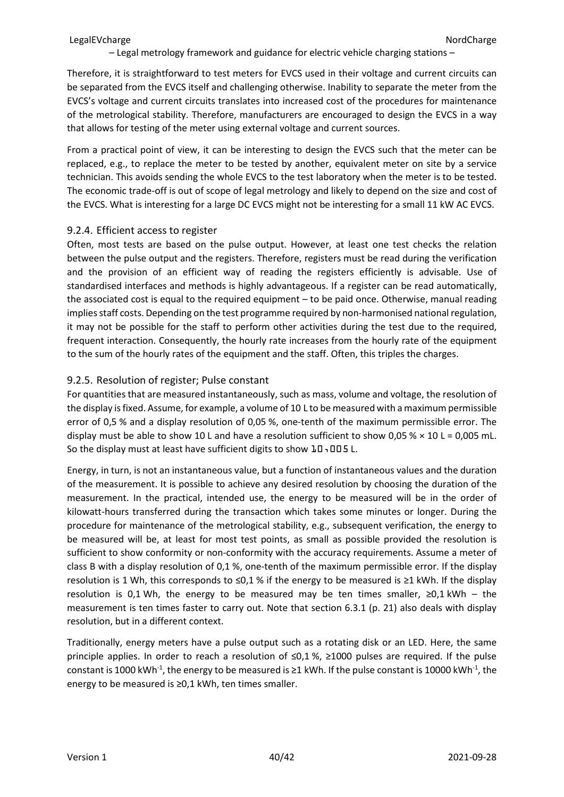Therefore, it is straightforward to test meters for EVCS used in their voltage and current circuits can be separated from the EVCS itself and challenging otherwise. Inability to separate the meter from the EVCS's voltage and current circuits translates into increased cost of the procedures for maintenance of the metrological stability. Therefore, manufacturers are encouraged to design the EVCS in a way that allows for testing of the meter using external voltage and current sources.

From a practical point of view, it can be interesting to design the EVCS such that the meter can be replaced, e.g., to replace the meter to be tested by another, equivalent meter on site by a service technician. This avoids sending the whole EVCS to the test laboratory when the meter is to be tested. The economic trade-off is out of scope of legal metrology and likely to depend on the size and cost of the EVCS. What is interesting for a large DC EVCS might not be interesting for a small 11 kW AC EVCS.

#### <span id="page-39-0"></span>9.2.4. Efficient access to register

Often, most tests are based on the pulse output. However, at least one test checks the relation between the pulse output and the registers. Therefore, registers must be read during the verification and the provision of an efficient way of reading the registers efficiently is advisable. Use of standardised interfaces and methods is highly advantageous. If a register can be read automatically, the associated cost is equal to the required equipment – to be paid once. Otherwise, manual reading implies staff costs. Depending on the test programme required by non-harmonised national regulation, it may not be possible for the staff to perform other activities during the test due to the required, frequent interaction. Consequently, the hourly rate increases from the hourly rate of the equipment to the sum of the hourly rates of the equipment and the staff. Often, this triples the charges.

### <span id="page-39-1"></span>9.2.5. Resolution of register; Pulse constant

For quantities that are measured instantaneously, such as mass, volume and voltage, the resolution of the display is fixed. Assume, for example, a volume of 10 L to be measured with a maximum permissible error of 0,5 % and a display resolution of 0,05 %, one-tenth of the maximum permissible error. The display must be able to show 10 L and have a resolution sufficient to show 0,05 %  $\times$  10 L = 0,005 mL. So the display must at least have sufficient digits to show  $10$ , 005 L.

Energy, in turn, is not an instantaneous value, but a function of instantaneous values and the duration of the measurement. It is possible to achieve any desired resolution by choosing the duration of the measurement. In the practical, intended use, the energy to be measured will be in the order of kilowatt-hours transferred during the transaction which takes some minutes or longer. During the procedure for maintenance of the metrological stability, e.g., subsequent verification, the energy to be measured will be, at least for most test points, as small as possible provided the resolution is sufficient to show conformity or non-conformity with the accuracy requirements. Assume a meter of class B with a display resolution of 0,1 %, one-tenth of the maximum permissible error. If the display resolution is 1 Wh, this corresponds to ≤0,1 % if the energy to be measured is ≥1 kWh. If the display resolution is 0,1 Wh, the energy to be measured may be ten times smaller,  $\geq 0.1$  kWh – the measurement is ten times faster to carry out. Note that section [6.3.1](#page-20-4) (p. [21\)](#page-20-4) also deals with display resolution, but in a different context.

Traditionally, energy meters have a pulse output such as a rotating disk or an LED. Here, the same principle applies. In order to reach a resolution of ≤0,1%, ≥1000 pulses are required. If the pulse constant is 1000 kWh<sup>-1</sup>, the energy to be measured is  $\geq$ 1 kWh. If the pulse constant is 10000 kWh<sup>-1</sup>, the energy to be measured is ≥0,1 kWh, ten times smaller.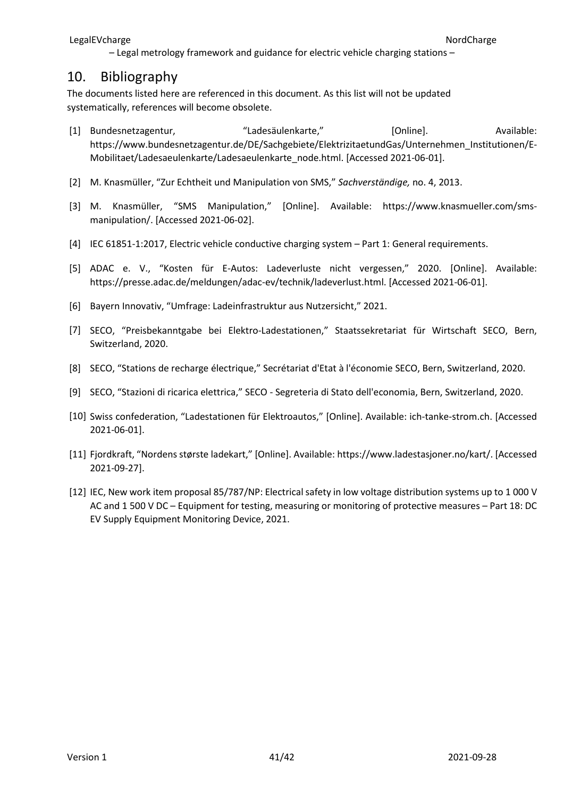## <span id="page-40-0"></span>10. Bibliography

The documents listed here are referenced in this document. As this list will not be updated systematically, references will become obsolete.

- [1] Bundesnetzagentur, "Ladesäulenkarte," [Online]. Available: https://www.bundesnetzagentur.de/DE/Sachgebiete/ElektrizitaetundGas/Unternehmen\_Institutionen/E-Mobilitaet/Ladesaeulenkarte/Ladesaeulenkarte\_node.html. [Accessed 2021-06-01].
- [2] M. Knasmüller, "Zur Echtheit und Manipulation von SMS," *Sachverständige,* no. 4, 2013.
- [3] M. Knasmüller, "SMS Manipulation," [Online]. Available: https://www.knasmueller.com/smsmanipulation/. [Accessed 2021-06-02].
- [4] IEC 61851-1:2017, Electric vehicle conductive charging system Part 1: General requirements.
- [5] ADAC e. V., "Kosten für E-Autos: Ladeverluste nicht vergessen," 2020. [Online]. Available: https://presse.adac.de/meldungen/adac-ev/technik/ladeverlust.html. [Accessed 2021-06-01].
- [6] Bayern Innovativ, "Umfrage: Ladeinfrastruktur aus Nutzersicht," 2021.
- [7] SECO, "Preisbekanntgabe bei Elektro-Ladestationen," Staatssekretariat für Wirtschaft SECO, Bern, Switzerland, 2020.
- [8] SECO, "Stations de recharge électrique," Secrétariat d'Etat à l'économie SECO, Bern, Switzerland, 2020.
- [9] SECO, "Stazioni di ricarica elettrica," SECO Segreteria di Stato dell'economia, Bern, Switzerland, 2020.
- [10] Swiss confederation, "Ladestationen für Elektroautos," [Online]. Available: ich-tanke-strom.ch. [Accessed 2021-06-01].
- [11] Fjordkraft, "Nordens største ladekart," [Online]. Available: https://www.ladestasjoner.no/kart/. [Accessed 2021-09-27].
- [12] IEC, New work item proposal 85/787/NP: Electrical safety in low voltage distribution systems up to 1 000 V AC and 1 500 V DC – Equipment for testing, measuring or monitoring of protective measures – Part 18: DC EV Supply Equipment Monitoring Device, 2021.